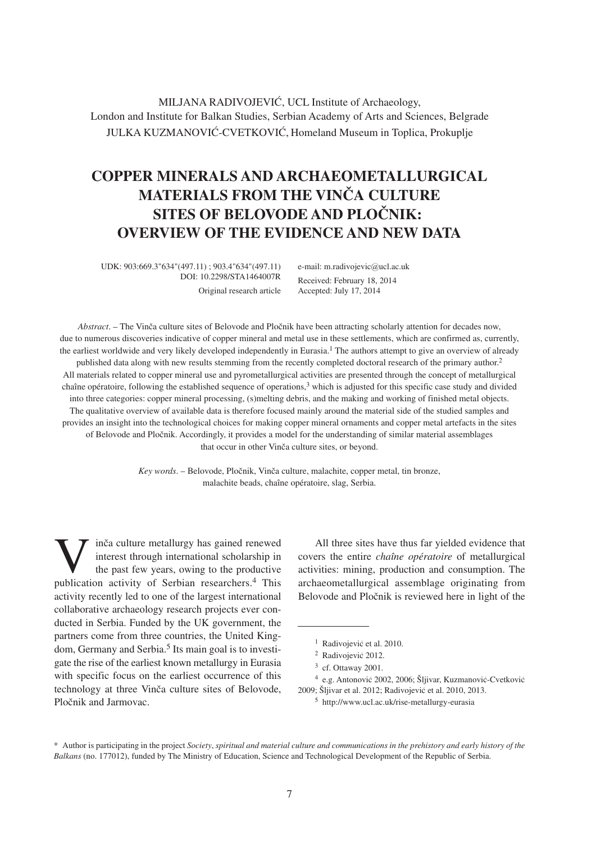MILJANA RADIVOJEVIĆ, UCL Institute of Archaeology, London and Institute for Balkan Studies, Serbian Academy of Arts and Sciences, Belgrade JULKA KUZMANOVIĆ-CVETKOVIĆ, Homeland Museum in Toplica, Prokuplie

# **COPPER MINERALS AND ARCHAEOMETALLURGICAL MATERIALS FROM THE VINČA CULTURE SITES OF BELOVODE AND PLOČNIK: OVERVIEW OF THE EVIDENCE AND NEW DATA**

UDK: 903:669.3"634"(497.11) ; 903.4"634"(497.11) DOI: 10.2298/STA1464007R Original research article e-mail: m.radivojevic@ucl.ac.uk Received: February 18, 2014 Accepted: July 17, 2014

*Abstract*. – The Vinča culture sites of Belovode and Pločnik have been attracting scholarly attention for decades now, due to numerous discoveries indicative of copper mineral and metal use in these settlements, which are confirmed as, currently, the earliest worldwide and very likely developed independently in Eurasia.1 The authors attempt to give an overview of already published data along with new results stemming from the recently completed doctoral research of the primary author.2 All materials related to copper mineral use and pyrometallurgical activities are presented through the concept of metallurgical chaîne opératoire, following the established sequence of operations,3 which is adjusted for this specific case study and divided into three categories: copper mineral processing, (s)melting debris, and the making and working of finished metal objects. The qualitative overview of available data is therefore focused mainly around the material side of the studied samples and provides an insight into the technological choices for making copper mineral ornaments and copper metal artefacts in the sites of Belovode and Pločnik. Accordingly, it provides a model for the understanding of similar material assemblages that occur in other Vinča culture sites, or beyond.

> *Key words.* – Belovode, Pločnik, Vinča culture, malachite, copper metal, tin bronze, malachite beads, chaîne opératoire, slag, Serbia.

inča culture metallurgy has gained renewed interest through international scholarship in the past few years, owing to the productive publication activity of Serbian researchers.4 This activity recently led to one of the largest international collaborative archaeology research projects ever conducted in Serbia. Funded by the UK government, the partners come from three countries, the United Kingdom, Germany and Serbia.<sup>5</sup> Its main goal is to investigate the rise of the earliest known metallurgy in Eurasia with specific focus on the earliest occurrence of this technology at three Vinča culture sites of Belovode, Pločnik and Jarmovac.

All three sites have thus far yielded evidence that covers the entire *chaîne opératoire* of metallurgical activities: mining, production and consumption. The archaeometallurgical assemblage originating from Belovode and Pločnik is reviewed here in light of the

 $3$  cf. Ottaway 2001.

<sup>&</sup>lt;sup>1</sup> Radivojević et al. 2010.

<sup>&</sup>lt;sup>2</sup> Radivojević 2012.

<sup>&</sup>lt;sup>4</sup> e.g. Antonović 2002, 2006; Šljivar, Kuzmanović-Cvetković 2009; Šljivar et al. 2012; Radivojević et al. 2010, 2013.

<sup>5</sup> http://www.ucl.ac.uk/rise-metallurgy-eurasia

<sup>\*</sup> Author is participating in the project *Society*, *spiritual and material culture and communications in the prehistory and early history of the Balkans* (no. 177012), funded by The Ministry of Education, Science and Technological Development of the Republic of Serbia.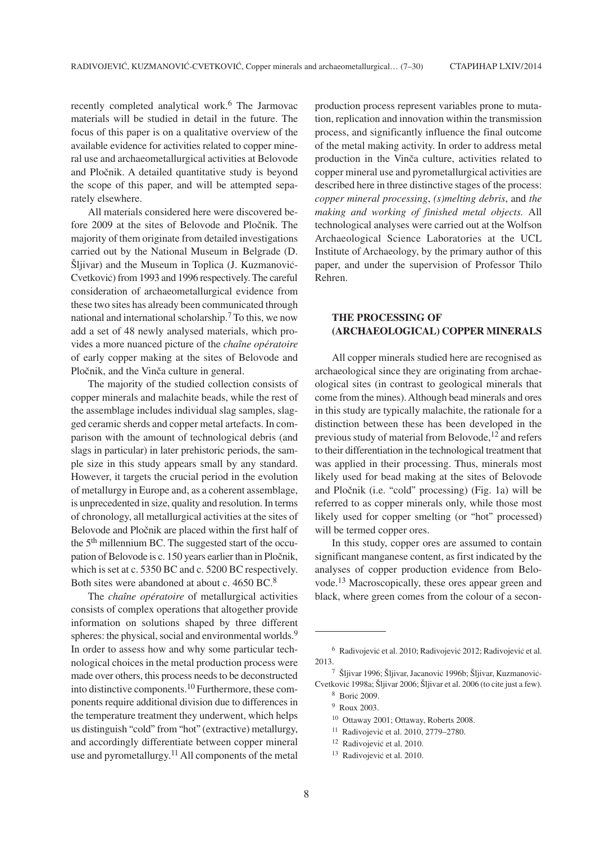recently completed analytical work.6 The Jarmovac materials will be studied in detail in the future. The focus of this paper is on a qualitative overview of the available evidence for activities related to copper mineral use and archaeometallurgical activities at Belovode and Pločnik. A detailed quantitative study is beyond the scope of this paper, and will be attempted separately elsewhere.

All materials considered here were discovered before 2009 at the sites of Belovode and Pločnik. The majority of them originate from detailed investigations carried out by the National Museum in Belgrade (D. Šlijvar) and the Museum in Toplica (J. Kuzmanović-Cvetković) from 1993 and 1996 respectively. The careful consideration of archaeometallurgical evidence from these two sites has already been communicated through national and international scholarship.<sup>7</sup> To this, we now add a set of 48 newly analysed materials, which provides a more nuanced picture of the *chaîne opératoire* of early copper making at the sites of Belovode and Pločnik, and the Vinča culture in general.

The majority of the studied collection consists of copper minerals and malachite beads, while the rest of the assemblage includes individual slag samples, slagged ceramic sherds and copper metal artefacts. In comparison with the amount of technological debris (and slags in particular) in later prehistoric periods, the sample size in this study appears small by any standard. However, it targets the crucial period in the evolution of metallurgy in Europe and, as a coherent assemblage, is unprecedented in size, quality and resolution. In terms of chronology, all metallurgical activities at the sites of Belovode and Pločnik are placed within the first half of the 5<sup>th</sup> millennium BC. The suggested start of the occupation of Belovode is c. 150 years earlier than in Pločnik, which is set at c. 5350 BC and c. 5200 BC respectively. Both sites were abandoned at about c. 4650 BC.8

The *chaîne opératoire* of metallurgical activities consists of complex operations that altogether provide information on solutions shaped by three different spheres: the physical, social and environmental worlds.<sup>9</sup> In order to assess how and why some particular technological choices in the metal production process were made over others, this process needs to be deconstructed into distinctive components.10 Furthermore, these components require additional division due to differences in the temperature treatment they underwent, which helps us distinguish "cold" from "hot" (extractive) metallurgy, and accordingly differentiate between copper mineral use and pyrometallurgy.<sup>11</sup> All components of the metal

production process represent variables prone to mutation, replication and innovation within the transmission process, and significantly influence the final outcome of the metal making activity. In order to address metal production in the Vinča culture, activities related to copper mineral use and pyrometallurgical activities are described here in three distinctive stages of the process: *copper mineral processing*, *(s)melting debris*, and *the making and working of finished metal objects.* All technological analyses were carried out at the Wolfson Archaeological Science Laboratories at the UCL Institute of Archaeology, by the primary author of this paper, and under the supervision of Professor Thilo Rehren.

# **THE PROCESSING OF (ARCHAEOLOGICAL) COPPER MINERALS**

All copper minerals studied here are recognised as archaeological since they are originating from archaeological sites (in contrast to geological minerals that come from the mines). Although bead minerals and ores in this study are typically malachite, the rationale for a distinction between these has been developed in the previous study of material from Belovode,<sup>12</sup> and refers to their differentiation in the technological treatment that was applied in their processing. Thus, minerals most likely used for bead making at the sites of Belovode and Pločnik (i.e. "cold" processing) (Fig. 1a) will be referred to as copper minerals only, while those most likely used for copper smelting (or "hot" processed) will be termed copper ores.

In this study, copper ores are assumed to contain significant manganese content, as first indicated by the analyses of copper production evidence from Belovode.<sup>13</sup> Macroscopically, these ores appear green and black, where green comes from the colour of a secon-

<sup>&</sup>lt;sup>6</sup> Radivojević et al. 2010; Radivojević 2012; Radivojević et al. 2013.

<sup>&</sup>lt;sup>7</sup> Šljivar 1996; Šljivar, Jacanović 1996b; Šljivar, Kuzmanović-Cvetković 1998a; Šljivar 2006; Šljivar et al. 2006 (to cite just a few).

<sup>&</sup>lt;sup>8</sup> Borić 2009.

<sup>9</sup> Roux 2003.

<sup>10</sup> Ottaway 2001; Ottaway, Roberts 2008.

<sup>&</sup>lt;sup>11</sup> Radivojević et al. 2010, 2779–2780.

<sup>&</sup>lt;sup>12</sup> Radivojević et al. 2010.

<sup>&</sup>lt;sup>13</sup> Radivojević et al. 2010.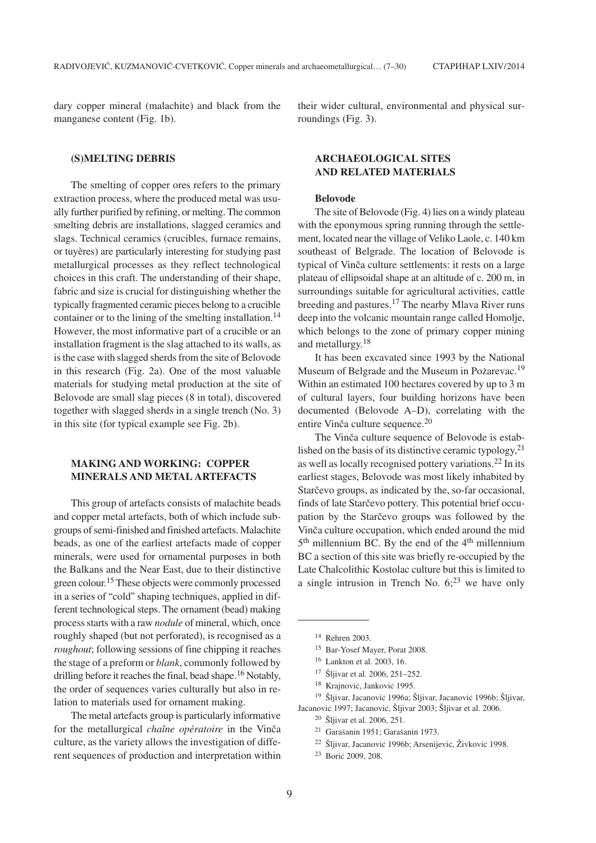dary copper mineral (malachite) and black from the manganese content (Fig. 1b).

**(S)MELTING DEBRIS**

The smelting of copper ores refers to the primary extraction process, where the produced metal was usually further purified by refining, or melting. The common smelting debris are installations, slagged ceramics and slags. Technical ceramics (crucibles, furnace remains, or tuyères) are particularly interesting for studying past metallurgical processes as they reflect technological choices in this craft. The understanding of their shape, fabric and size is crucial for distinguishing whether the typically fragmented ceramic pieces belong to a crucible container or to the lining of the smelting installation.<sup>14</sup> However, the most informative part of a crucible or an installation fragment is the slag attached to its walls, as is the case with slagged sherds from the site of Belovode in this research (Fig. 2a). One of the most valuable materials for studying metal production at the site of Belovode are small slag pieces (8 in total), discovered together with slagged sherds in a single trench (No. 3) in this site (for typical example see Fig. 2b).

# **MAKING AND WORKING: COPPER MINERALS AND METAL ARTEFACTS**

This group of artefacts consists of malachite beads and copper metal artefacts, both of which include subgroups of semi-finished and finished artefacts. Malachite beads, as one of the earliest artefacts made of copper minerals, were used for ornamental purposes in both the Balkans and the Near East, due to their distinctive green colour.15 These objects were commonly processed in a series of "cold" shaping techniques, applied in different technological steps. The ornament (bead) making process starts with a raw *nodule* of mineral, which, once roughly shaped (but not perforated), is recognised as a *roughout*; following sessions of fine chipping it reaches the stage of a preform or *blank*, commonly followed by drilling before it reaches the final, bead shape.<sup>16</sup> Notably, the order of sequences varies culturally but also in relation to materials used for ornament making.

The metal artefacts group is particularly informative for the metallurgical *chaîne opératoire* in the Vinča culture, as the variety allows the investigation of different sequences of production and interpretation within

their wider cultural, environmental and physical surroundings (Fig. 3).

# **ARCHAEOLOGICAL SITES AND RELATED MATERIALS**

#### **Belovode**

The site of Belovode (Fig. 4) lies on a windy plateau with the eponymous spring running through the settlement, located near the village of Veliko Laole, c. 140 km southeast of Belgrade. The location of Belovode is typical of Vinča culture settlements: it rests on a large plateau of ellipsoidal shape at an altitude of c. 200 m, in surroundings suitable for agricultural activities, cattle breeding and pastures.17 The nearby Mlava River runs deep into the volcanic mountain range called Homolje, which belongs to the zone of primary copper mining and metallurgy.18

It has been excavated since 1993 by the National Museum of Belgrade and the Museum in Požarevac.<sup>19</sup> Within an estimated 100 hectares covered by up to 3 m of cultural layers, four building horizons have been documented (Belovode A–D), correlating with the entire Vinča culture sequence. $20$ 

The Vinča culture sequence of Belovode is established on the basis of its distinctive ceramic typology,  $2<sup>1</sup>$ as well as locally recognised pottery variations.22 In its earliest stages, Belovode was most likely inhabited by Starčevo groups, as indicated by the, so-far occasional, finds of late Starčevo pottery. This potential brief occupation by the Starcevo groups was followed by the Vinča culture occupation, which ended around the mid  $5<sup>th</sup>$  millennium BC. By the end of the  $4<sup>th</sup>$  millennium BC a section of this site was briefly re-occupied by the Late Chalcolithic Kostolac culture but this is limited to a single intrusion in Trench No.  $6;^{23}$  we have only

<sup>18</sup> Krajnović, Janković 1995.

<sup>19</sup> Šliivar, Jacanović 1996a; Šliivar, Jacanović 1996b; Šliivar, Jacanović 1997; Jacanović, Šliivar 2003; Šliivar et al. 2006.

- <sup>21</sup> Garašanin 1951; Garašanin 1973.
- <sup>22</sup> Šljivar, Jacanović 1996b; Arsenijević, Živković 1998.
- <sup>23</sup> Borić 2009, 208.

<sup>14</sup> Rehren 2003.

<sup>15</sup> Bar-Yosef Mayer, Porat 2008.

<sup>16</sup> Lankton et al. 2003, 16.

<sup>&</sup>lt;sup>17</sup> Šljivar et al. 2006, 251-252.

 $20\,$  Šljivar et al. 2006, 251.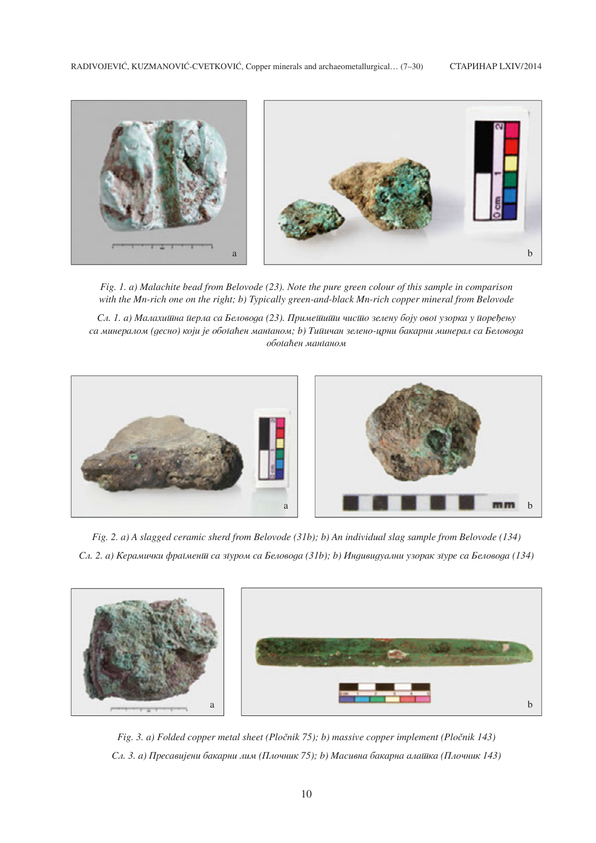

*Fig. 1. a) Malachite bead from Belovode (23). Note the pure green colour of this sample in comparison with the Mn-rich one on the right; b) Typically green-and-black Mn-rich copper mineral from Belovode*

*Сл. 1. а) Малахишна иерла са Беловода (23). Примешиши чисшо зелену боју ової узорка у иоређењу sa mineralom (desno) koji je oboga}en manganom; b) Tipi~an zeleno-crni bakarni mineral sa Belovoda oboga}en manganom*



*Fig. 2. a) A slagged ceramic sherd from Belovode (31b); b) An individual slag sample from Belovode (134) Sl. 2. a) Kerami~ki fragment sa zgurom sa Belovoda (31b); b) Individualni uzorak zgure sa Belovoda (134)*



*Fig. 3. a) Folded copper metal sheet (Pločnik 75); b) massive copper implement (Pločnik 143) Sl. 3. a) Presavijeni bakarni lim (Plo~nik 75); b) Masivna bakarna alatka (Plo~nik 143)*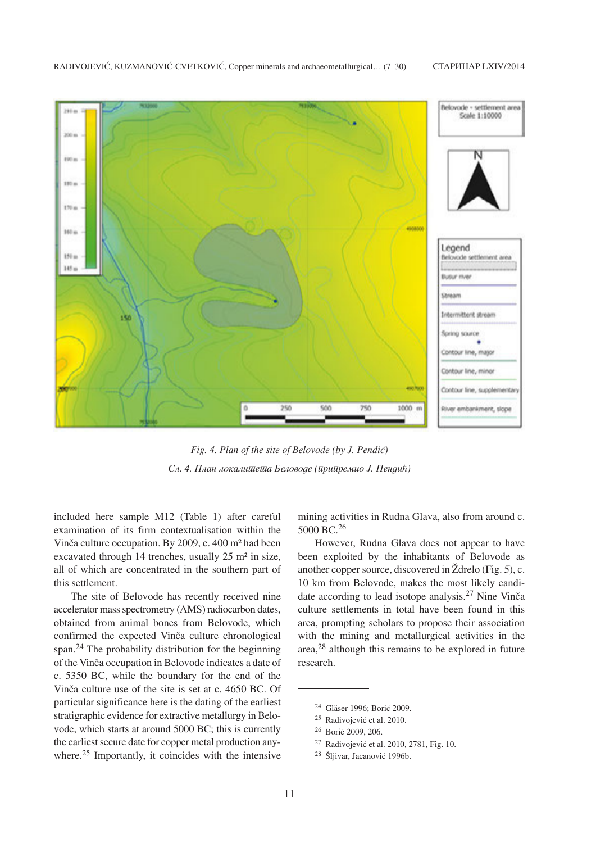

Fig. 4. Plan of the site of Belovode (by J. Pendić) *Sl. 4. Plan lokaliteta Belovode (pripremio J. Pendi})*

included here sample M12 (Table 1) after careful examination of its firm contextualisation within the Vinča culture occupation. By 2009, c. 400 m<sup>2</sup> had been excavated through 14 trenches, usually 25 m² in size, all of which are concentrated in the southern part of this settlement.

The site of Belovode has recently received nine accelerator mass spectrometry (AMS) radiocarbon dates, obtained from animal bones from Belovode, which confirmed the expected Vinča culture chronological span.24 The probability distribution for the beginning of the Vinča occupation in Belovode indicates a date of c. 5350 BC, while the boundary for the end of the Vinča culture use of the site is set at c. 4650 BC. Of particular significance here is the dating of the earliest stratigraphic evidence for extractive metallurgy in Belovode, which starts at around 5000 BC; this is currently the earliest secure date for copper metal production anywhere.<sup>25</sup> Importantly, it coincides with the intensive mining activities in Rudna Glava, also from around c. 5000 BC.<sup>26</sup>

However, Rudna Glava does not appear to have been exploited by the inhabitants of Belovode as another copper source, discovered in  $\check{Z}$ drelo (Fig. 5), c. 10 km from Belovode, makes the most likely candidate according to lead isotope analysis.<sup>27</sup> Nine Vinča culture settlements in total have been found in this area, prompting scholars to propose their association with the mining and metallurgical activities in the area,28 although this remains to be explored in future research.

- <sup>27</sup> Radivojević et al. 2010, 2781, Fig. 10.
- <sup>28</sup> Šljivar, Jacanović 1996b.

<sup>&</sup>lt;sup>24</sup> Gläser 1996: Borić 2009.

<sup>&</sup>lt;sup>25</sup> Radivojević et al. 2010.

<sup>&</sup>lt;sup>26</sup> Borić 2009, 206.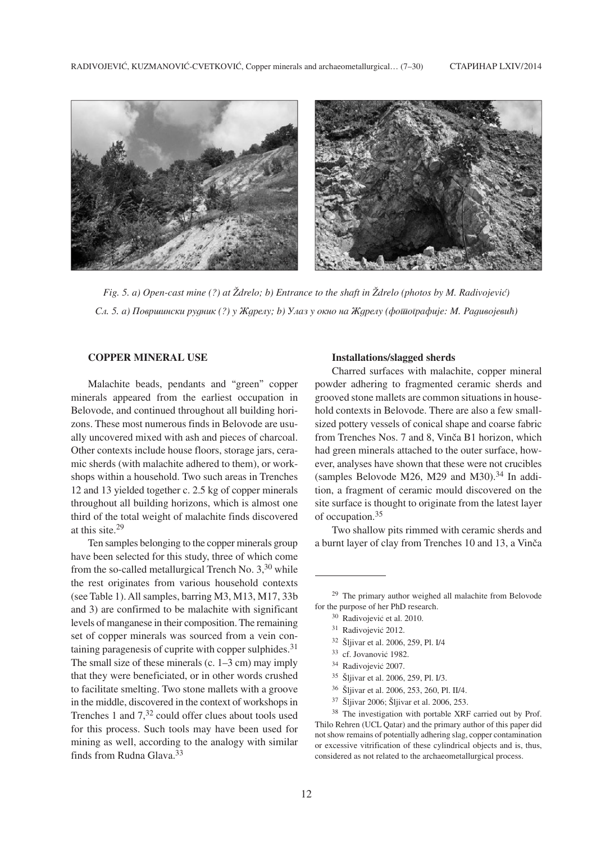

*Fig.* 5. a) Open-cast mine (?) at  $\check{Z}$ drelo; b) Entrance to the shaft in  $\check{Z}$ drelo (photos by M. Radivojević)  $C_A$ . 5. а) Површински рудник (?) у Ждрелу; b) Улаз у окно на Ждрелу (фототрафије: М. Радивојевић)

# **COPPER MINERAL USE**

Malachite beads, pendants and "green" copper minerals appeared from the earliest occupation in Belovode, and continued throughout all building horizons. These most numerous finds in Belovode are usually uncovered mixed with ash and pieces of charcoal. Other contexts include house floors, storage jars, ceramic sherds (with malachite adhered to them), or workshops within a household. Two such areas in Trenches 12 and 13 yielded together c. 2.5 kg of copper minerals throughout all building horizons, which is almost one third of the total weight of malachite finds discovered at this site.29

Ten samples belonging to the copper minerals group have been selected for this study, three of which come from the so-called metallurgical Trench No.  $3,30$  while the rest originates from various household contexts (see Table 1). All samples, barring M3, M13, M17, 33b and 3) are confirmed to be malachite with significant levels of manganese in their composition. The remaining set of copper minerals was sourced from a vein containing paragenesis of cuprite with copper sulphides. $31$ The small size of these minerals  $(c. 1-3 cm)$  may imply that they were beneficiated, or in other words crushed to facilitate smelting. Two stone mallets with a groove in the middle, discovered in the context of workshops in Trenches 1 and  $7<sup>32</sup>$  could offer clues about tools used for this process. Such tools may have been used for mining as well, according to the analogy with similar finds from Rudna Glava.33

#### **Installations/slagged sherds**

Charred surfaces with malachite, copper mineral powder adhering to fragmented ceramic sherds and grooved stone mallets are common situations in household contexts in Belovode. There are also a few smallsized pottery vessels of conical shape and coarse fabric from Trenches Nos. 7 and 8, Vinča B1 horizon, which had green minerals attached to the outer surface, however, analyses have shown that these were not crucibles (samples Belovode M26, M29 and M30). $34$  In addition, a fragment of ceramic mould discovered on the site surface is thought to originate from the latest layer of occupation.35

Two shallow pits rimmed with ceramic sherds and a burnt layer of clay from Trenches 10 and 13, a Vinča

- <sup>32</sup> Šljivar et al. 2006, 259, Pl. I/4
- <sup>33</sup> cf. Jovanović 1982.
- <sup>34</sup> Radivojević 2007.
- <sup>35</sup> Šljivar et al. 2006, 259, Pl. I/3.
- <sup>36</sup> Šljivar et al. 2006, 253, 260, Pl. II/4.
- 37 Šljivar 2006; Šljivar et al. 2006, 253.

<sup>38</sup> The investigation with portable XRF carried out by Prof. Thilo Rehren (UCL Qatar) and the primary author of this paper did not show remains of potentially adhering slag, copper contamination or excessive vitrification of these cylindrical objects and is, thus, considered as not related to the archaeometallurgical process.

<sup>29</sup> The primary author weighed all malachite from Belovode for the purpose of her PhD research.

<sup>&</sup>lt;sup>30</sup> Radivojević et al. 2010.

<sup>&</sup>lt;sup>31</sup> Radivojević 2012.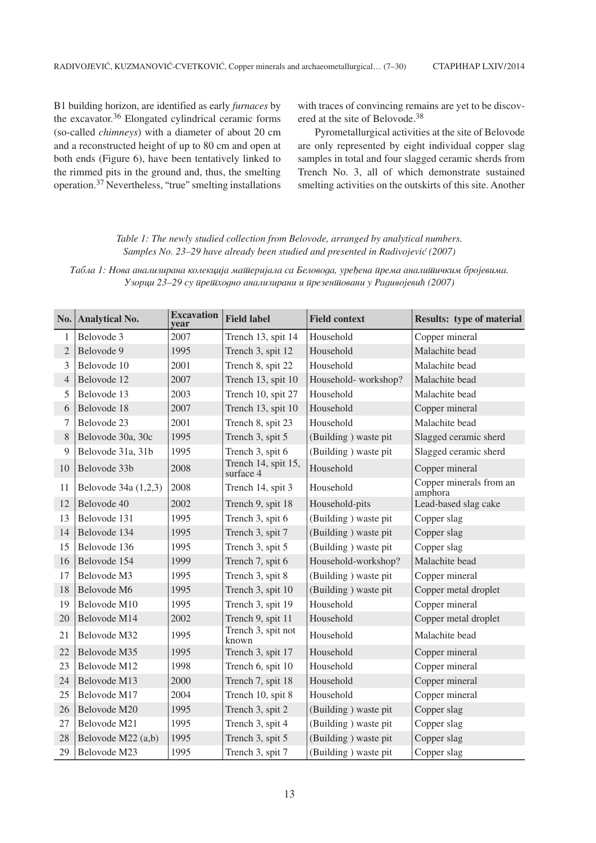B1 building horizon, are identified as early *furnaces* by the excavator. $36$  Elongated cylindrical ceramic forms (so-called *chimneys*) with a diameter of about 20 cm and a reconstructed height of up to 80 cm and open at both ends (Figure 6), have been tentatively linked to the rimmed pits in the ground and, thus, the smelting operation.37 Nevertheless, "true" smelting installations

with traces of convincing remains are yet to be discovered at the site of Belovode.38

Pyrometallurgical activities at the site of Belovode are only represented by eight individual copper slag samples in total and four slagged ceramic sherds from Trench No. 3, all of which demonstrate sustained smelting activities on the outskirts of this site. Another

# *Table 1: The newly studied collection from Belovode, arranged by analytical numbers. Samples No. 23–29 have already been studied and presented in Radivojević (2007)*

*Табла 1: Нова анализирана колекција матиеријала са Беловода, уређена ирема аналитиичким бројевима. Uzorci 23–29 su prethodno analizirani i prezentovani u Radivojevi} (2007)*

|                | No. Analytical No.   | <b>Excavation</b><br>vear | <b>Field label</b>               | <b>Field context</b> | <b>Results: type of material</b>   |
|----------------|----------------------|---------------------------|----------------------------------|----------------------|------------------------------------|
| 1              | Belovode 3           | 2007                      | Trench 13, spit 14               | Household            | Copper mineral                     |
| $\mathfrak{2}$ | Belovode 9           | 1995                      | Trench 3, spit 12                | Household            | Malachite bead                     |
| 3              | Belovode 10          | 2001                      | Trench 8, spit 22                | Household            | Malachite bead                     |
| $\overline{4}$ | Belovode 12          | 2007                      | Trench 13, spit 10               | Household-workshop?  | Malachite bead                     |
| 5              | Belovode 13          | 2003                      | Trench 10, spit 27               | Household            | Malachite bead                     |
| 6              | Belovode 18          | 2007                      | Trench 13, spit 10               | Household            | Copper mineral                     |
| 7              | Belovode 23          | 2001                      | Trench 8, spit 23                | Household            | Malachite bead                     |
| 8              | Belovode 30a, 30c    | 1995                      | Trench 3, spit 5                 | (Building) waste pit | Slagged ceramic sherd              |
| 9              | Belovode 31a, 31b    | 1995                      | Trench 3, spit 6                 | (Building) waste pit | Slagged ceramic sherd              |
| 10             | Belovode 33b         | 2008                      | Trench 14, spit 15,<br>surface 4 | Household            | Copper mineral                     |
| 11             | Belovode 34a (1,2,3) | 2008                      | Trench 14, spit 3                | Household            | Copper minerals from an<br>amphora |
| 12             | Belovode 40          | 2002                      | Trench 9, spit 18                | Household-pits       | Lead-based slag cake               |
| 13             | Belovode 131         | 1995                      | Trench 3, spit 6                 | (Building) waste pit | Copper slag                        |
| 14             | Belovode 134         | 1995                      | Trench 3, spit 7                 | (Building) waste pit | Copper slag                        |
| 15             | Belovode 136         | 1995                      | Trench 3, spit 5                 | (Building) waste pit | Copper slag                        |
| 16             | Belovode 154         | 1999                      | Trench 7, spit 6                 | Household-workshop?  | Malachite bead                     |
| 17             | Belovode M3          | 1995                      | Trench 3, spit 8                 | (Building) waste pit | Copper mineral                     |
| 18             | Belovode M6          | 1995                      | Trench 3, spit 10                | (Building) waste pit | Copper metal droplet               |
| 19             | Belovode M10         | 1995                      | Trench 3, spit 19                | Household            | Copper mineral                     |
| 20             | Belovode M14         | 2002                      | Trench 9, spit 11                | Household            | Copper metal droplet               |
| 21             | Belovode M32         | 1995                      | Trench 3, spit not<br>known      | Household            | Malachite bead                     |
| 22             | Belovode M35         | 1995                      | Trench 3, spit 17                | Household            | Copper mineral                     |
| 23             | Belovode M12         | 1998                      | Trench 6, spit 10                | Household            | Copper mineral                     |
| 24             | Belovode M13         | 2000                      | Trench 7, spit 18                | Household            | Copper mineral                     |
| 25             | Belovode M17         | 2004                      | Trench 10, spit 8                | Household            | Copper mineral                     |
| 26             | Belovode M20         | 1995                      | Trench 3, spit 2                 | (Building) waste pit | Copper slag                        |
| 27             | Belovode M21         | 1995                      | Trench 3, spit 4                 | (Building) waste pit | Copper slag                        |
| 28             | Belovode M22 (a,b)   | 1995                      | Trench 3, spit 5                 | (Building) waste pit | Copper slag                        |
| 29             | Belovode M23         | 1995                      | Trench 3, spit 7                 | (Building) waste pit | Copper slag                        |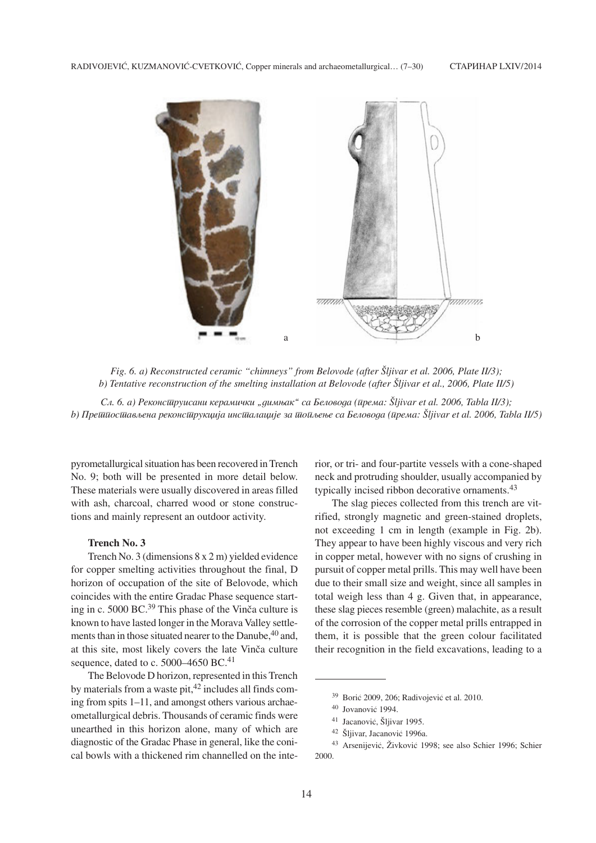

*Fig. 6. a) Reconstructed ceramic "chimneys" from Belovode (after Šljivar et al. 2006, Plate II/3); b) Tentative reconstruction of the smelting installation at Belovode (after Šljivar et al., 2006, Plate II/5)* 

*C.a. 6. a*) Реконстируисани керамички "димњак" са Беловода (према: Šljivar et al. 2006, Tabla II/3); *b*) Прешиосшављена реконсшрукција инсшалације за шоиљење са Беловода (ирема: Šljivar et al. 2006, Tabla II/5)

pyrometallurgical situation has been recovered in Trench No. 9; both will be presented in more detail below. These materials were usually discovered in areas filled with ash, charcoal, charred wood or stone constructions and mainly represent an outdoor activity.

# **Trench No. 3**

Trench No. 3 (dimensions 8 x 2 m) yielded evidence for copper smelting activities throughout the final, D horizon of occupation of the site of Belovode, which coincides with the entire Gradac Phase sequence starting in c.  $5000$  BC.<sup>39</sup> This phase of the Vinča culture is known to have lasted longer in the Morava Valley settlements than in those situated nearer to the Danube, <sup>40</sup> and, at this site, most likely covers the late Vinča culture sequence, dated to c.  $5000-4650$  BC.<sup>41</sup>

The Belovode D horizon, represented in this Trench by materials from a waste pit, $42$  includes all finds coming from spits 1–11, and amongst others various archaeometallurgical debris. Thousands of ceramic finds were unearthed in this horizon alone, many of which are diagnostic of the Gradac Phase in general, like the conical bowls with a thickened rim channelled on the interior, or tri- and four-partite vessels with a cone-shaped neck and protruding shoulder, usually accompanied by typically incised ribbon decorative ornaments.43

The slag pieces collected from this trench are vitrified, strongly magnetic and green-stained droplets, not exceeding 1 cm in length (example in Fig. 2b). They appear to have been highly viscous and very rich in copper metal, however with no signs of crushing in pursuit of copper metal prills. This may well have been due to their small size and weight, since all samples in total weigh less than 4 g. Given that, in appearance, these slag pieces resemble (green) malachite, as a result of the corrosion of the copper metal prills entrapped in them, it is possible that the green colour facilitated their recognition in the field excavations, leading to a

 $39$  Borić 2009, 206; Radivojević et al. 2010.

<sup>40</sup> Jovanović 1994.

<sup>&</sup>lt;sup>41</sup> Jacanović, Šljivar 1995.

<sup>&</sup>lt;sup>42</sup> Šljivar, Jacanović 1996a.

<sup>&</sup>lt;sup>43</sup> Arsenijević, Živković 1998; see also Schier 1996; Schier 2000.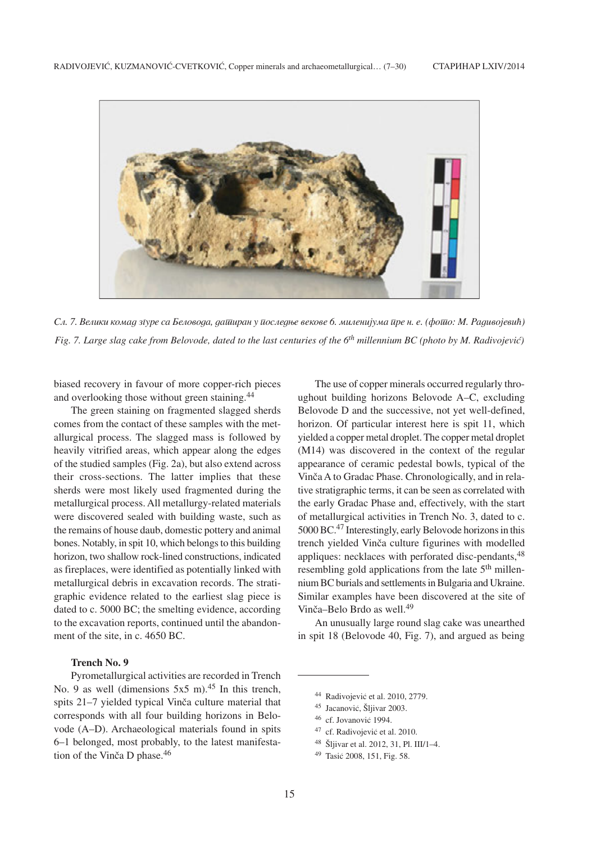

*Sl. 7. Veliki komad zgure sa Belovoda, datiran u posledwe vekove 6. milenijuma pre n. e. (foto: M. Radivojevi}) Fig. 7. Large slag cake from Belovode, dated to the last centuries of the 6<sup>th</sup> millennium BC (photo by M. Radivojević)* 

biased recovery in favour of more copper-rich pieces and overlooking those without green staining.44

The green staining on fragmented slagged sherds comes from the contact of these samples with the metallurgical process. The slagged mass is followed by heavily vitrified areas, which appear along the edges of the studied samples (Fig. 2a), but also extend across their cross-sections. The latter implies that these sherds were most likely used fragmented during the metallurgical process. All metallurgy-related materials were discovered sealed with building waste, such as the remains of house daub, domestic pottery and animal bones. Notably, in spit 10, which belongs to this building horizon, two shallow rock-lined constructions, indicated as fireplaces, were identified as potentially linked with metallurgical debris in excavation records. The stratigraphic evidence related to the earliest slag piece is dated to c. 5000 BC; the smelting evidence, according to the excavation reports, continued until the abandonment of the site, in c. 4650 BC.

# **Trench No. 9**

Pyrometallurgical activities are recorded in Trench No. 9 as well (dimensions  $5x5$  m).<sup>45</sup> In this trench, spits 21–7 yielded typical Vinča culture material that corresponds with all four building horizons in Belovode (A–D). Archaeological materials found in spits 6–1 belonged, most probably, to the latest manifestation of the Vinča D phase. $46$ 

The use of copper minerals occurred regularly throughout building horizons Belovode A–C, excluding Belovode D and the successive, not yet well-defined, horizon. Of particular interest here is spit 11, which yielded a copper metal droplet. The copper metal droplet (M14) was discovered in the context of the regular appearance of ceramic pedestal bowls, typical of the Vinča A to Gradac Phase. Chronologically, and in relative stratigraphic terms, it can be seen as correlated with the early Gradac Phase and, effectively, with the start of metallurgical activities in Trench No. 3, dated to c. 5000 BC.47 Interestingly, early Belovode horizons in this trench yielded Vinča culture figurines with modelled appliques: necklaces with perforated disc-pendants,  $48$ resembling gold applications from the late  $5<sup>th</sup>$  millennium BC burials and settlements in Bulgaria and Ukraine. Similar examples have been discovered at the site of Vinča–Belo Brdo as well. $^{49}$ 

An unusually large round slag cake was unearthed in spit 18 (Belovode 40, Fig. 7), and argued as being

48 Šljivar et al. 2012, 31, Pl. III/1-4.

<sup>44</sup> Radivojević et al. 2010, 2779.

<sup>&</sup>lt;sup>45</sup> Jacanović, Šljivar 2003.

<sup>46</sup> cf. Jovanović 1994.

<sup>&</sup>lt;sup>47</sup> cf. Radivojević et al. 2010.

<sup>&</sup>lt;sup>49</sup> Tasić 2008, 151, Fig. 58.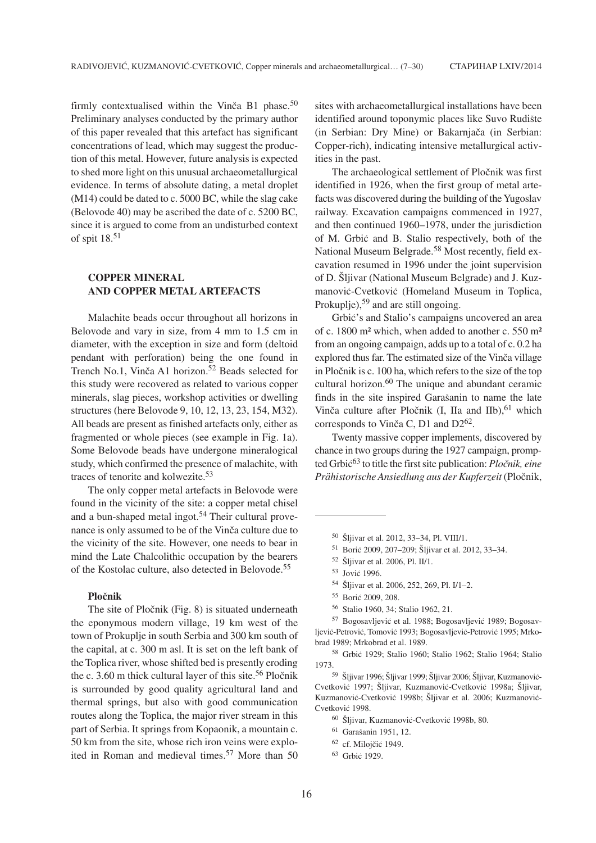firmly contextualised within the Vinča B1 phase.<sup>50</sup> Preliminary analyses conducted by the primary author of this paper revealed that this artefact has significant concentrations of lead, which may suggest the production of this metal. However, future analysis is expected to shed more light on this unusual archaeometallurgical evidence. In terms of absolute dating, a metal droplet (M14) could be dated to c. 5000 BC, while the slag cake (Belovode 40) may be ascribed the date of c. 5200 BC, since it is argued to come from an undisturbed context of spit 18.51

# **COPPER MINERAL AND COPPER METAL ARTEFACTS**

Malachite beads occur throughout all horizons in Belovode and vary in size, from 4 mm to 1.5 cm in diameter, with the exception in size and form (deltoid pendant with perforation) being the one found in Trench No.1, Vinča A1 horizon. $52$  Beads selected for this study were recovered as related to various copper minerals, slag pieces, workshop activities or dwelling structures (here Belovode 9, 10, 12, 13, 23, 154, M32). All beads are present as finished artefacts only, either as fragmented or whole pieces (see example in Fig. 1a). Some Belovode beads have undergone mineralogical study, which confirmed the presence of malachite, with traces of tenorite and kolwezite.53

The only copper metal artefacts in Belovode were found in the vicinity of the site: a copper metal chisel and a bun-shaped metal ingot.<sup>54</sup> Their cultural provenance is only assumed to be of the Vinča culture due to the vicinity of the site. However, one needs to bear in mind the Late Chalcolithic occupation by the bearers of the Kostolac culture, also detected in Belovode.55

#### **Plo~nik**

The site of Pločnik (Fig. 8) is situated underneath the eponymous modern village, 19 km west of the town of Prokuplje in south Serbia and 300 km south of the capital, at c. 300 m asl. It is set on the left bank of the Toplica river, whose shifted bed is presently eroding the c. 3.60 m thick cultural layer of this site.<sup>56</sup> Pločnik is surrounded by good quality agricultural land and thermal springs, but also with good communication routes along the Toplica, the major river stream in this part of Serbia. It springs from Kopaonik, a mountain c. 50 km from the site, whose rich iron veins were exploited in Roman and medieval times.<sup>57</sup> More than 50

sites with archaeometallurgical installations have been identified around toponymic places like Suvo Rudište (in Serbian: Dry Mine) or Bakarnjača (in Serbian: Copper-rich), indicating intensive metallurgical activities in the past.

The archaeological settlement of Pločnik was first identified in 1926, when the first group of metal artefacts was discovered during the building of the Yugoslav railway. Excavation campaigns commenced in 1927, and then continued 1960–1978, under the jurisdiction of M. Grbić and B. Stalio respectively, both of the National Museum Belgrade.58 Most recently, field excavation resumed in 1996 under the joint supervision of D. Šljivar (National Museum Belgrade) and J. Kuzmanović-Cvetković (Homeland Museum in Toplica, Prokuplje),<sup>59</sup> and are still ongoing.

Grbić's and Stalio's campaigns uncovered an area of c. 1800 m² which, when added to another c. 550 m² from an ongoing campaign, adds up to a total of c. 0.2 ha explored thus far. The estimated size of the Vinča village in Pločnik is c. 100 ha, which refers to the size of the top cultural horizon.<sup>60</sup> The unique and abundant ceramic finds in the site inspired Garašanin to name the late Vinča culture after Pločnik (I, IIa and IIb), <sup>61</sup> which corresponds to Vinča C, D1 and  $D2^{62}$ .

Twenty massive copper implements, discovered by chance in two groups during the 1927 campaign, prompted Grbic<sup>63</sup> to title the first site publication: *Pločnik, eine*  $P$ rähistorische Ansiedlung aus der Kupferzeit (Pločnik,

51 Borić 2009, 207-209; Šljivar et al. 2012, 33-34.

- 54 Šljivar et al. 2006, 252, 269, Pl. I/1-2.
- <sup>55</sup> Borić 2009, 208.
- <sup>56</sup> Stalio 1960, 34; Stalio 1962, 21.

57 Bogosavljević et al. 1988; Bogosavljević 1989; Bogosavljević-Petrović, Tomović 1993; Bogosavljević-Petrović 1995; Mrkobrad 1989; Mrkobrad et al. 1989.

<sup>58</sup> Grbić 1929; Stalio 1960; Stalio 1962; Stalio 1964; Stalio 1973.

<sup>59</sup> Šliivar 1996; Šliivar 1999; Šliivar 2006; Šliivar, Kuzmanović-Cvetković 1997; Šliivar, Kuzmanović-Cvetković 1998a; Šliivar, Kuzmanović-Cvetković 1998b; Šliivar et al. 2006; Kuzmanović-Cvetković 1998.

- <sup>60</sup> Šljivar, Kuzmanović-Cvetković 1998b, 80.
- <sup>61</sup> Garašanin 1951, 12.
- <sup>62</sup> cf. Milojčić 1949.
- <sup>63</sup> Grbić 1929.

<sup>&</sup>lt;sup>50</sup> Šljivar et al. 2012, 33–34, Pl. VIII/1.

<sup>&</sup>lt;sup>52</sup> Šljivar et al. 2006, Pl. II/1.

<sup>53</sup> Jović 1996.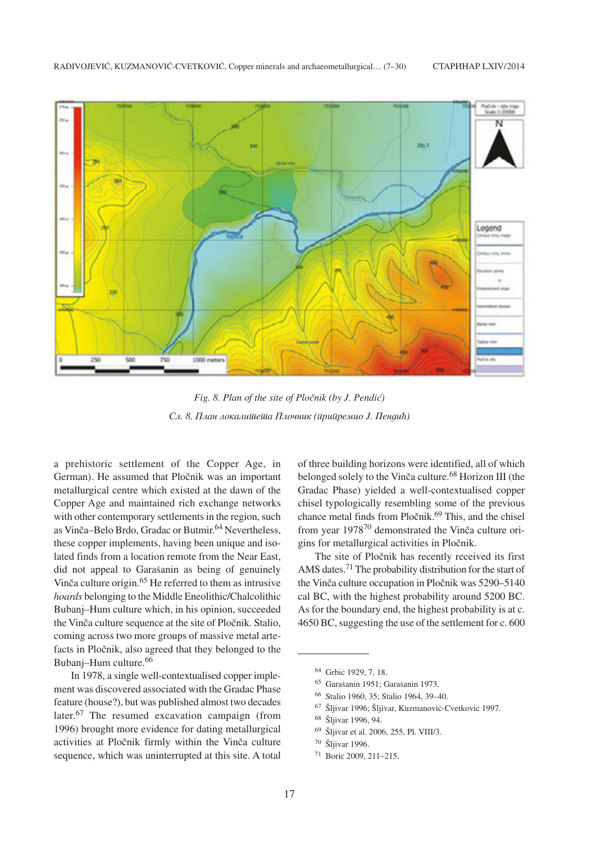

*Fig. 8. Plan of the site of Pločnik (by J. Pendić)* Сл. 8. План локали<del>шеша</del> Плочник (ирииремио Ј. Пендић)

a prehistoric settlement of the Copper Age, in German). He assumed that Pločnik was an important metallurgical centre which existed at the dawn of the Copper Age and maintained rich exchange networks with other contemporary settlements in the region, such as Vinča–Belo Brdo, Gradac or Butmir.<sup>64</sup> Nevertheless, these copper implements, having been unique and isolated finds from a location remote from the Near East, did not appeal to Garašanin as being of genuinely Vinča culture origin.<sup>65</sup> He referred to them as intrusive *hoards* belonging to the Middle Eneolithic/Chalcolithic Bubanj–Hum culture which, in his opinion, succeeded the Vinča culture sequence at the site of Pločnik. Stalio, coming across two more groups of massive metal artefacts in Pločnik, also agreed that they belonged to the Bubanj–Hum culture.66

In 1978, a single well-contextualised copper implement was discovered associated with the Gradac Phase feature (house?), but was published almost two decades later.<sup>67</sup> The resumed excavation campaign (from 1996) brought more evidence for dating metallurgical activities at Pločnik firmly within the Vinča culture sequence, which was uninterrupted at this site. A total of three building horizons were identified, all of which belonged solely to the Vinča culture.<sup>68</sup> Horizon III (the Gradac Phase) yielded a well-contextualised copper chisel typologically resembling some of the previous chance metal finds from Pločnik. $69$  This, and the chisel from year 1978<sup>70</sup> demonstrated the Vinča culture origins for metallurgical activities in Pločnik.

The site of Pločnik has recently received its first AMS dates.71 The probability distribution for the start of the Vinča culture occupation in Pločnik was 5290–5140 cal BC, with the highest probability around 5200 BC. As for the boundary end, the highest probability is at c. 4650 BC, suggesting the use of the settlement for c. 600

- <sup>65</sup> Garašanin 1951; Garašanin 1973.
- <sup>66</sup> Stalio 1960, 35; Stalio 1964, 39–40.
- <sup>67</sup> Šliivar 1996; Šliivar, Kuzmanović-Cvetković 1997.
- 68 Šliivar 1996, 94.
- 69 Šljivar et al. 2006, 255, Pl. VIII/3.

 $71$  Borić 2009, 211–215.

<sup>&</sup>lt;sup>64</sup> Grbić 1929, 7, 18.

<sup>&</sup>lt;sup>70</sup> Šljivar 1996.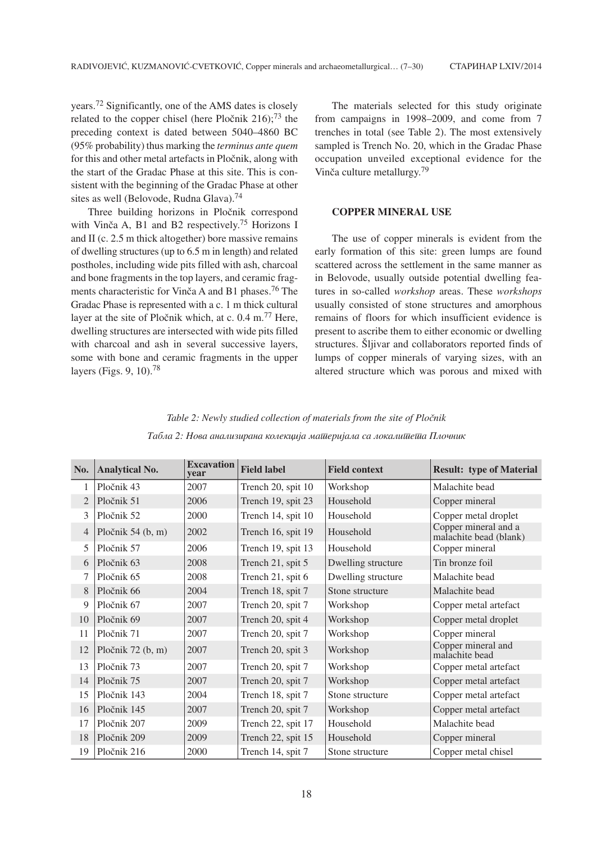years.72 Significantly, one of the AMS dates is closely related to the copper chisel (here Pločnik  $216$ );<sup>73</sup> the preceding context is dated between 5040–4860 BC (95% probability) thus marking the *terminus ante quem* for this and other metal artefacts in Pločnik, along with the start of the Gradac Phase at this site. This is consistent with the beginning of the Gradac Phase at other sites as well (Belovode, Rudna Glava).<sup>74</sup>

Three building horizons in Pločnik correspond with Vinča A, B1 and B2 respectively.<sup>75</sup> Horizons I and II (c. 2.5 m thick altogether) bore massive remains of dwelling structures (up to 6.5 m in length) and related postholes, including wide pits filled with ash, charcoal and bone fragments in the top layers, and ceramic fragments characteristic for Vinča A and B1 phases.<sup>76</sup> The Gradac Phase is represented with a c. 1 m thick cultural layer at the site of Pločnik which, at c.  $0.4 \text{ m}^{77}$  Here, dwelling structures are intersected with wide pits filled with charcoal and ash in several successive layers, some with bone and ceramic fragments in the upper layers (Figs. 9, 10).78

The materials selected for this study originate from campaigns in 1998–2009, and come from 7 trenches in total (see Table 2). The most extensively sampled is Trench No. 20, which in the Gradac Phase occupation unveiled exceptional evidence for the Vinča culture metallurgy.<sup>79</sup>

## **COPPER MINERAL USE**

The use of copper minerals is evident from the early formation of this site: green lumps are found scattered across the settlement in the same manner as in Belovode, usually outside potential dwelling features in so-called *workshop* areas. These *workshops* usually consisted of stone structures and amorphous remains of floors for which insufficient evidence is present to ascribe them to either economic or dwelling structures. Šljivar and collaborators reported finds of lumps of copper minerals of varying sizes, with an altered structure which was porous and mixed with

| No.            | <b>Analytical No.</b> | <b>Excavation</b><br>vear | <b>Field label</b> | <b>Field context</b> | <b>Result: type of Material</b>                |
|----------------|-----------------------|---------------------------|--------------------|----------------------|------------------------------------------------|
|                | Pločnik 43            | 2007                      | Trench 20, spit 10 | Workshop             | Malachite bead                                 |
| $\overline{2}$ | Pločnik 51            | 2006                      | Trench 19, spit 23 | Household            | Copper mineral                                 |
| 3              | Pločnik 52            | 2000                      | Trench 14, spit 10 | Household            | Copper metal droplet                           |
| $\overline{4}$ | Pločnik 54 $(b, m)$   | 2002                      | Trench 16, spit 19 | Household            | Copper mineral and a<br>malachite bead (blank) |
| 5              | Pločnik 57            | 2006                      | Trench 19, spit 13 | Household            | Copper mineral                                 |
| 6              | Pločnik 63            | 2008                      | Trench 21, spit 5  | Dwelling structure   | Tin bronze foil                                |
| 7              | Pločnik 65            | 2008                      | Trench 21, spit 6  | Dwelling structure   | Malachite bead                                 |
| 8              | Pločnik 66            | 2004                      | Trench 18, spit 7  | Stone structure      | Malachite bead                                 |
| 9              | Pločnik 67            | 2007                      | Trench 20, spit 7  | Workshop             | Copper metal artefact                          |
| 10             | Pločnik 69            | 2007                      | Trench 20, spit 4  | Workshop             | Copper metal droplet                           |
| 11             | Pločnik 71            | 2007                      | Trench 20, spit 7  | Workshop             | Copper mineral                                 |
| 12             | Pločnik 72 (b, m)     | 2007                      | Trench 20, spit 3  | Workshop             | Copper mineral and<br>malachite bead           |
| 13             | Pločnik 73            | 2007                      | Trench 20, spit 7  | Workshop             | Copper metal artefact                          |
| 14             | Pločnik 75            | 2007                      | Trench 20, spit 7  | Workshop             | Copper metal artefact                          |
| 15             | Pločnik 143           | 2004                      | Trench 18, spit 7  | Stone structure      | Copper metal artefact                          |
| 16             | Pločnik 145           | 2007                      | Trench 20, spit 7  | Workshop             | Copper metal artefact                          |
| 17             | Pločnik 207           | 2009                      | Trench 22, spit 17 | Household            | Malachite bead                                 |
| 18             | Pločnik 209           | 2009                      | Trench 22, spit 15 | Household            | Copper mineral                                 |
| 19             | Pločnik 216           | 2000                      | Trench 14, spit 7  | Stone structure      | Copper metal chisel                            |

Table 2: Newly studied collection of materials from the site of Pločnik *Tabla 2: Nova analizirana kolekcija materijala sa lokaliteta Plo~nik*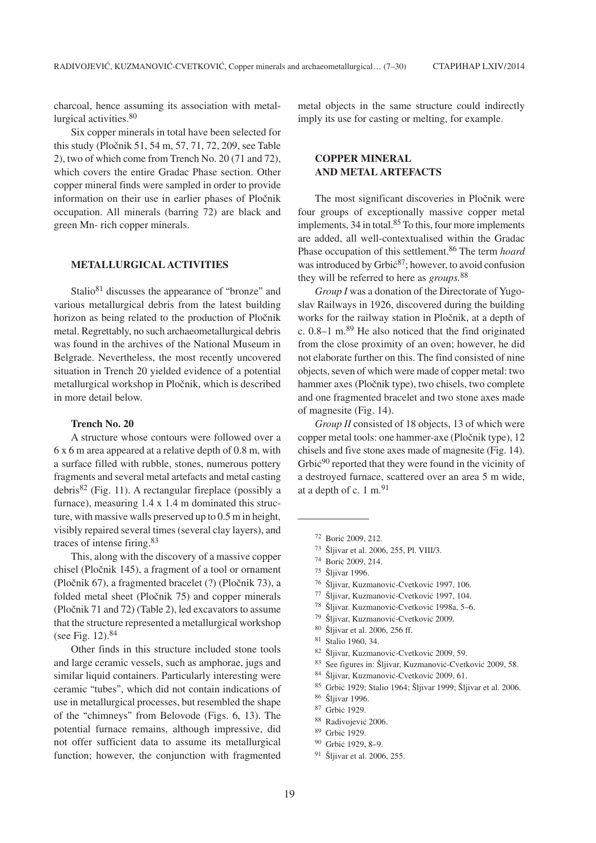charcoal, hence assuming its association with metallurgical activities.<sup>80</sup>

Six copper minerals in total have been selected for this study (Pločnik 51, 54 m, 57, 71, 72, 209, see Table 2), two of which come from Trench No. 20 (71 and 72), which covers the entire Gradac Phase section. Other copper mineral finds were sampled in order to provide information on their use in earlier phases of Pločnik occupation. All minerals (barring 72) are black and green Mn- rich copper minerals.

### **METALLURGICAL ACTIVITIES**

Stalio<sup>81</sup> discusses the appearance of "bronze" and various metallurgical debris from the latest building horizon as being related to the production of Pločnik metal. Regrettably, no such archaeometallurgical debris was found in the archives of the National Museum in Belgrade. Nevertheless, the most recently uncovered situation in Trench 20 yielded evidence of a potential metallurgical workshop in Pločnik, which is described in more detail below.

#### **Trench No. 20**

A structure whose contours were followed over a 6 x 6 m area appeared at a relative depth of 0.8 m, with a surface filled with rubble, stones, numerous pottery fragments and several metal artefacts and metal casting debris<sup>82</sup> (Fig. 11). A rectangular fireplace (possibly a furnace), measuring 1.4 x 1.4 m dominated this structure, with massive walls preserved up to 0.5 m in height, visibly repaired several times (several clay layers), and traces of intense firing.83

This, along with the discovery of a massive copper chisel (Pločnik 145), a fragment of a tool or ornament (Pločnik 67), a fragmented bracelet (?) (Pločnik 73), a folded metal sheet (Pločnik 75) and copper minerals (Pločnik 71 and 72) (Table 2), led excavators to assume that the structure represented a metallurgical workshop (see Fig.  $12$ ).<sup>84</sup>

Other finds in this structure included stone tools and large ceramic vessels, such as amphorae, jugs and similar liquid containers. Particularly interesting were ceramic "tubes", which did not contain indications of use in metallurgical processes, but resembled the shape of the "chimneys" from Belovode (Figs. 6, 13). The potential furnace remains, although impressive, did not offer sufficient data to assume its metallurgical function; however, the conjunction with fragmented metal objects in the same structure could indirectly imply its use for casting or melting, for example.

# **COPPER MINERAL AND METAL ARTEFACTS**

The most significant discoveries in Pločnik were four groups of exceptionally massive copper metal implements, 34 in total.<sup>85</sup> To this, four more implements are added, all well-contextualised within the Gradac Phase occupation of this settlement.86 The term *hoard* was introduced by Grbi $\varepsilon^{87}$ ; however, to avoid confusion they will be referred to here as *groups.*<sup>88</sup>

*Group I* was a donation of the Directorate of Yugoslav Railways in 1926, discovered during the building works for the railway station in Pločnik, at a depth of c.  $0.8-1$  m.<sup>89</sup> He also noticed that the find originated from the close proximity of an oven; however, he did not elaborate further on this. The find consisted of nine objects, seven of which were made of copper metal: two hammer axes (Pločnik type), two chisels, two complete and one fragmented bracelet and two stone axes made of magnesite (Fig. 14).

*Group II* consisted of 18 objects, 13 of which were copper metal tools: one hammer-axe (Pločnik type), 12 chisels and five stone axes made of magnesite (Fig. 14). Grbi $\zeta^{90}$  reported that they were found in the vicinity of a destroyed furnace, scattered over an area 5 m wide, at a depth of c.  $1 \text{ m}$ .<sup>91</sup>

73 Šljivar et al. 2006, 255, Pl. VIII/3.

- <sup>76</sup> Šliivar, Kuzmanović-Cvetković 1997, 106.
- 77 Šljivar, Kuzmanović-Cvetković 1997, 104.
- <sup>78</sup> Šljivar. Kuzmanović-Cvetković 1998a, 5–6.
- 79 Šljivar, Kuzmanović-Cvetković 2009.
- <sup>80</sup> Šljivar et al. 2006, 256 ff.<br><sup>81</sup> Stalio 1960, 34
- $81$  Stalio 1960, 34.<br> $82$  Šliiver Kuzmer
- Šljivar, Kuzmanović-Cvetković 2009, 59.
- 83 See figures in: Šljivar, Kuzmanović-Cvetković 2009, 58.
- 84 Šljivar, Kuzmanović-Cvetković 2009, 61.
- 85 Grbić 1929; Stalio 1964; Šljivar 1999; Šljivar et al. 2006.
- $\frac{86}{87}$  Šljivar 1996.
- Grbić 1929.
- <sup>88</sup> Radivojević 2006.
- <sup>89</sup> Grbić 1929.
- 90 Grbić 1929, 8-9.
- <sup>91</sup> Šljivar et al. 2006, 255.

<sup>72</sup> Borić 2009, 212.

<sup>&</sup>lt;sup>74</sup> Borić 2009, 214.

<sup>75</sup> Šljivar 1996.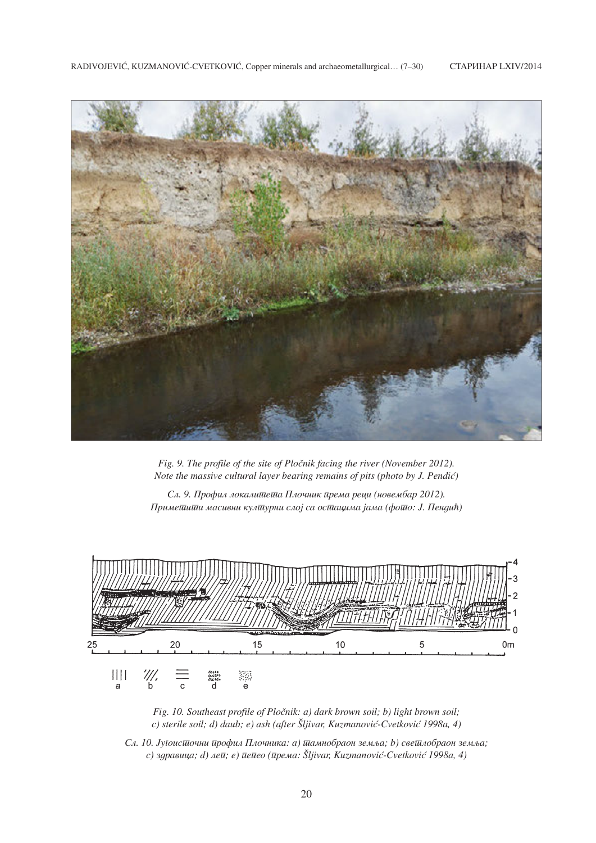

*Fig. 9. The profile of the site of Pločnik facing the river (November 2012). Note the massive cultural layer bearing remains of pits (photo by J. Pendić)* 

Сл. 9. Профил локали<del>шеша</del> Плочник према реци (новембар 2012).  $\Pi$ риметити масивни културни слој са осттацима јама (фото: *J. Пендић*)



*Fig. 10. Southeast profile of Pločnik: a) dark brown soil; b) light brown soil;* c) sterile soil; d) daub; e) ash (after Šljivar, Kuzmanović-Cvetković 1998a, 4)

 $C_A$ . 10. Јуї оистиочни профил Плочника: а) тамнобраон земља; b) светлобраон земља; *c*) здравица; *d*) ле $\bar{u}$ ; *e*)  $\bar{u}$ е $\bar{u}$ ео ( $\bar{u}$ рема: Šljivar, Kuzmanović-Cvetković 1998a, 4)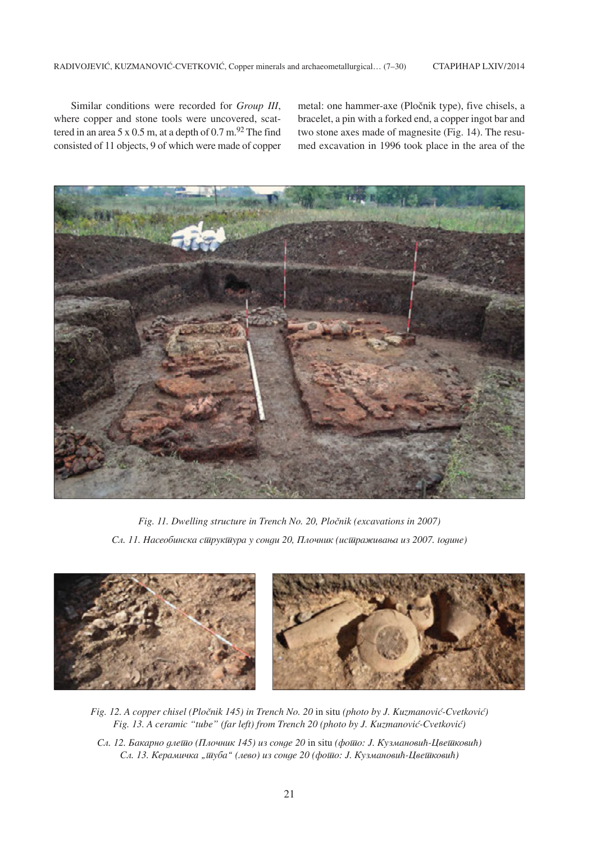Similar conditions were recorded for *Group III*, where copper and stone tools were uncovered, scattered in an area  $5 \times 0.5$  m, at a depth of  $0.7$  m.<sup>92</sup> The find consisted of 11 objects, 9 of which were made of copper metal: one hammer-axe (Pločnik type), five chisels, a bracelet, a pin with a forked end, a copper ingot bar and two stone axes made of magnesite (Fig. 14). The resumed excavation in 1996 took place in the area of the



*Fig. 11. Dwelling structure in Trench No. 20, Pločnik (excavations in 2007)* Сл. 11. Насеобинска структура у сонди 20, Плочник (истраживања из 2007. *иодине*)



*Fig. 12. A copper chisel (Pločnik 145) in Trench No. 20 in situ (photo by J. Kuzmanović-Cvetković) Fig. 13. A ceramic "tube" (far left) from Trench 20 (photo by J. Kuzmanović-Cvetković)* 

Cл. 12. Бакарно длешо (Плочник 145) из сонде 20 in situ (фошо: *J. Кузмановић-Цвешковић*) *Сл. 13. Керамичка "* $\overline{u}$ *уба" (лево) из сонде 20 (фо* $\overline{u}$ *о: J. Кузмановић-Цве* $\overline{u}$ *ковић)*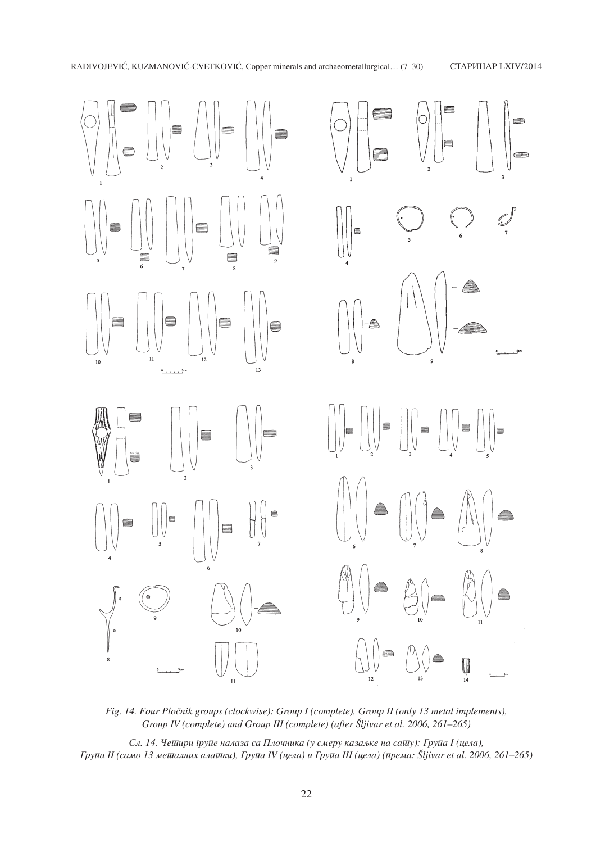

*Fig. 14. Four Pločnik groups (clockwise): Group I (complete), Group II (only 13 metal implements), Group IV (complete) and Group III (complete) (after Šljivar et al. 2006, 261-265)* 

*Сл. 14. Четири трупе налаза са Плочника (у смеру казальке на сату): Група I (цела), Grupa II (samo 13 metalnih alatki), Grupa IV (cela) i Grupa III (cela) (prema: [ljivar et al. 2006, 261–265)*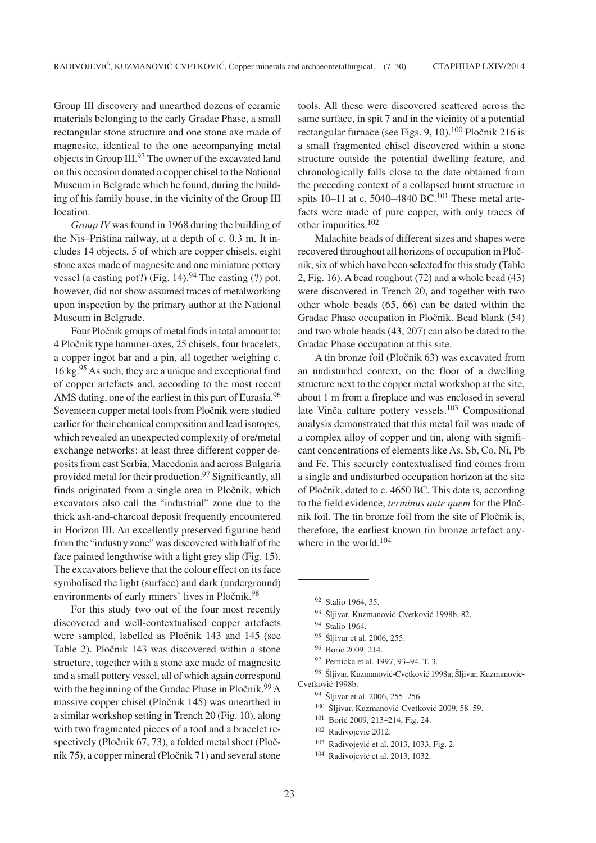Group III discovery and unearthed dozens of ceramic materials belonging to the early Gradac Phase, a small rectangular stone structure and one stone axe made of magnesite, identical to the one accompanying metal objects in Group III.<sup>93</sup> The owner of the excavated land on this occasion donated a copper chisel to the National Museum in Belgrade which he found, during the building of his family house, in the vicinity of the Group III location.

*Group IV* was found in 1968 during the building of the Nis–Priština railway, at a depth of c.  $0.3$  m. It includes 14 objects, 5 of which are copper chisels, eight stone axes made of magnesite and one miniature pottery vessel (a casting pot?) (Fig. 14).<sup>94</sup> The casting (?) pot, however, did not show assumed traces of metalworking upon inspection by the primary author at the National Museum in Belgrade.

Four Pločnik groups of metal finds in total amount to: 4 Pločnik type hammer-axes, 25 chisels, four bracelets, a copper ingot bar and a pin, all together weighing c. 16 kg.95 As such, they are a unique and exceptional find of copper artefacts and, according to the most recent AMS dating, one of the earliest in this part of Eurasia.<sup>96</sup> Seventeen copper metal tools from Pločnik were studied earlier for their chemical composition and lead isotopes, which revealed an unexpected complexity of ore/metal exchange networks: at least three different copper deposits from east Serbia, Macedonia and across Bulgaria provided metal for their production.97 Significantly, all finds originated from a single area in Pločnik, which excavators also call the "industrial" zone due to the thick ash-and-charcoal deposit frequently encountered in Horizon III. An excellently preserved figurine head from the "industry zone" was discovered with half of the face painted lengthwise with a light grey slip (Fig. 15). The excavators believe that the colour effect on its face symbolised the light (surface) and dark (underground) environments of early miners' lives in Pločnik.<sup>98</sup>

For this study two out of the four most recently discovered and well-contextualised copper artefacts were sampled, labelled as Pločnik 143 and 145 (see Table 2). Pločnik 143 was discovered within a stone structure, together with a stone axe made of magnesite and a small pottery vessel, all of which again correspond with the beginning of the Gradac Phase in Pločnik.<sup>99</sup> A massive copper chisel (Pločnik 145) was unearthed in a similar workshop setting in Trench 20 (Fig. 10), along with two fragmented pieces of a tool and a bracelet respectively (Pločnik  $67, 73$ ), a folded metal sheet (Pločnik 75), a copper mineral (Pločnik 71) and several stone

tools. All these were discovered scattered across the same surface, in spit 7 and in the vicinity of a potential rectangular furnace (see Figs. 9, 10).<sup>100</sup> Pločnik 216 is a small fragmented chisel discovered within a stone structure outside the potential dwelling feature, and chronologically falls close to the date obtained from the preceding context of a collapsed burnt structure in spits  $10-11$  at c. 5040–4840 BC.<sup>101</sup> These metal artefacts were made of pure copper, with only traces of other impurities.102

Malachite beads of different sizes and shapes were recovered throughout all horizons of occupation in Pločnik, six of which have been selected for this study (Table 2, Fig. 16). A bead roughout (72) and a whole bead (43) were discovered in Trench 20, and together with two other whole beads (65, 66) can be dated within the Gradac Phase occupation in Pločnik. Bead blank (54) and two whole beads (43, 207) can also be dated to the Gradac Phase occupation at this site.

A tin bronze foil (Pločnik 63) was excavated from an undisturbed context, on the floor of a dwelling structure next to the copper metal workshop at the site, about 1 m from a fireplace and was enclosed in several late Vinča culture pottery vessels.<sup>103</sup> Compositional analysis demonstrated that this metal foil was made of a complex alloy of copper and tin, along with significant concentrations of elements like As, Sb, Co, Ni, Pb and Fe. This securely contextualised find comes from a single and undisturbed occupation horizon at the site of Pločnik, dated to c. 4650 BC. This date is, according to the field evidence, *terminus ante quem* for the Pločnik foil. The tin bronze foil from the site of Pločnik is, therefore, the earliest known tin bronze artefact anywhere in the world.<sup>104</sup>

93 Šljivar, Kuzmanović-Cvetković 1998b, 82.

98 Šljivar, Kuzmanović-Cvetković 1998a; Šljivar, Kuzmanović-Cvetković 1998b.

- <sup>100</sup> Šljivar, Kuzmanović-Cvetković 2009, 58–59.
- <sup>101</sup> Borić 2009, 213-214, Fig. 24.
- <sup>102</sup> Radivojević 2012.
- <sup>103</sup> Radivojević et al. 2013, 1033, Fig. 2.
- $104$  Radivojević et al. 2013, 1032.

<sup>92</sup> Stalio 1964, 35.

<sup>94</sup> Stalio 1964.

<sup>95</sup> Šljivar et al. 2006, 255.

<sup>96</sup> Borić 2009, 214.

<sup>97</sup> Pernicka et al. 1997, 93–94, T. 3.

<sup>&</sup>lt;sup>99</sup> Šljivar et al. 2006, 255–256.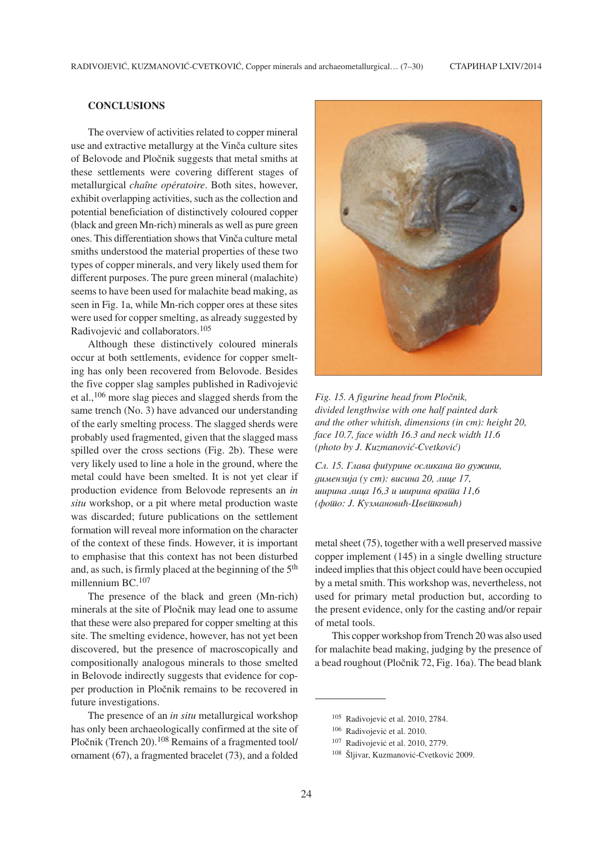# **CONCLUSIONS**

The overview of activities related to copper mineral use and extractive metallurgy at the Vinča culture sites of Belovode and Pločnik suggests that metal smiths at these settlements were covering different stages of metallurgical *chaîne opératoire*. Both sites, however, exhibit overlapping activities, such as the collection and potential beneficiation of distinctively coloured copper (black and green Mn-rich) minerals as well as pure green ones. This differentiation shows that Vinča culture metal smiths understood the material properties of these two types of copper minerals, and very likely used them for different purposes. The pure green mineral (malachite) seems to have been used for malachite bead making, as seen in Fig. 1a, while Mn-rich copper ores at these sites were used for copper smelting, as already suggested by Radivojević and collaborators.<sup>105</sup>

Although these distinctively coloured minerals occur at both settlements, evidence for copper smelting has only been recovered from Belovode. Besides the five copper slag samples published in Radivojević et al.,106 more slag pieces and slagged sherds from the same trench (No. 3) have advanced our understanding of the early smelting process. The slagged sherds were probably used fragmented, given that the slagged mass spilled over the cross sections (Fig. 2b). These were very likely used to line a hole in the ground, where the metal could have been smelted. It is not yet clear if production evidence from Belovode represents an *in situ* workshop, or a pit where metal production waste was discarded; future publications on the settlement formation will reveal more information on the character of the context of these finds. However, it is important to emphasise that this context has not been disturbed and, as such, is firmly placed at the beginning of the 5<sup>th</sup> millennium BC.<sup>107</sup>

The presence of the black and green (Mn-rich) minerals at the site of Pločnik may lead one to assume that these were also prepared for copper smelting at this site. The smelting evidence, however, has not yet been discovered, but the presence of macroscopically and compositionally analogous minerals to those smelted in Belovode indirectly suggests that evidence for copper production in Pločnik remains to be recovered in future investigations.

The presence of an *in situ* metallurgical workshop has only been archaeologically confirmed at the site of Pločnik (Trench 20).<sup>108</sup> Remains of a fragmented tool/ ornament (67), a fragmented bracelet (73), and a folded



 $Fig. 15. A figure head from Pločnik,$ *divided lengthwise with one half painted dark and the other whitish, dimensions (in cm): height 20, face 10.7, face width 16.3 and neck width 11.6 (photo by J. Kuzmanović-Cvetković)* 

Сл. 15. Глава фиїурине осликана *йо дужини*, димензија (у *ст*): висина 20, лице 17, *ишрина лица 16,3 и ширина враща 11,6 (фотио: Ј. Кузмановић-Цветиковић)* 

metal sheet (75), together with a well preserved massive copper implement (145) in a single dwelling structure indeed implies that this object could have been occupied by a metal smith. This workshop was, nevertheless, not used for primary metal production but, according to the present evidence, only for the casting and/or repair of metal tools.

This copper workshop from Trench 20 was also used for malachite bead making, judging by the presence of a bead roughout (Pločnik 72, Fig. 16a). The bead blank

 $105$  Radivojević et al. 2010, 2784.

<sup>&</sup>lt;sup>106</sup> Radivojević et al. 2010.

<sup>&</sup>lt;sup>107</sup> Radivojević et al. 2010, 2779.

<sup>&</sup>lt;sup>108</sup> Šljivar, Kuzmanović-Cvetković 2009.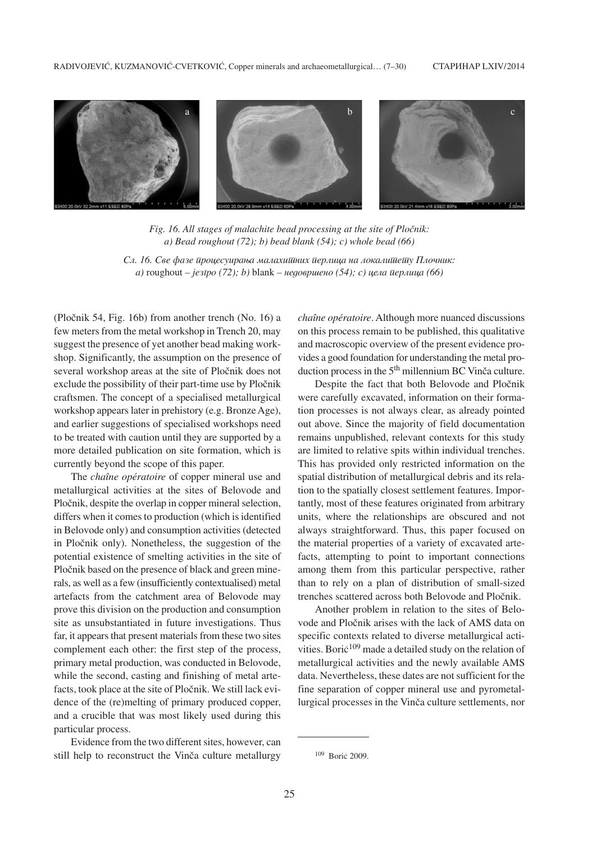

Fig. 16. All stages of malachite bead processing at the site of Pločnik: *a) Bead roughout (72); b) bead blank (54); c) whole bead (66)*

Сл. 16. Све фазе *ироцесуирања малахишних иерлица на локалишешу Плочник*: *a*) roughout – *jesīpo* (72); *b*) blank – недовршено (54); *c*) цела ūерлица (66)

(Pločnik 54, Fig. 16b) from another trench (No. 16) a few meters from the metal workshop in Trench 20, may suggest the presence of yet another bead making workshop. Significantly, the assumption on the presence of several workshop areas at the site of Pločnik does not exclude the possibility of their part-time use by Pločnik craftsmen. The concept of a specialised metallurgical workshop appears later in prehistory (e.g. Bronze Age), and earlier suggestions of specialised workshops need to be treated with caution until they are supported by a more detailed publication on site formation, which is currently beyond the scope of this paper.

The *chaîne opératoire* of copper mineral use and metallurgical activities at the sites of Belovode and Pločnik, despite the overlap in copper mineral selection, differs when it comes to production (which is identified in Belovode only) and consumption activities (detected in Pločnik only). Nonetheless, the suggestion of the potential existence of smelting activities in the site of Pločnik based on the presence of black and green minerals, as well as a few (insufficiently contextualised) metal artefacts from the catchment area of Belovode may prove this division on the production and consumption site as unsubstantiated in future investigations. Thus far, it appears that present materials from these two sites complement each other: the first step of the process, primary metal production, was conducted in Belovode, while the second, casting and finishing of metal artefacts, took place at the site of Pločnik. We still lack evidence of the (re)melting of primary produced copper, and a crucible that was most likely used during this particular process.

Evidence from the two different sites, however, can still help to reconstruct the Vinča culture metallurgy

*chaîne opératoire*. Although more nuanced discussions on this process remain to be published, this qualitative and macroscopic overview of the present evidence provides a good foundation for understanding the metal production process in the  $5<sup>th</sup>$  millennium BC Vinča culture.

Despite the fact that both Belovode and Pločnik were carefully excavated, information on their formation processes is not always clear, as already pointed out above. Since the majority of field documentation remains unpublished, relevant contexts for this study are limited to relative spits within individual trenches. This has provided only restricted information on the spatial distribution of metallurgical debris and its relation to the spatially closest settlement features. Importantly, most of these features originated from arbitrary units, where the relationships are obscured and not always straightforward. Thus, this paper focused on the material properties of a variety of excavated artefacts, attempting to point to important connections among them from this particular perspective, rather than to rely on a plan of distribution of small-sized trenches scattered across both Belovode and Pločnik.

Another problem in relation to the sites of Belovode and Pločnik arises with the lack of AMS data on specific contexts related to diverse metallurgical activities. Bori $\dot{c}^{109}$  made a detailed study on the relation of metallurgical activities and the newly available AMS data. Nevertheless, these dates are not sufficient for the fine separation of copper mineral use and pyrometallurgical processes in the Vinča culture settlements, nor

<sup>&</sup>lt;sup>109</sup> Borić 2009.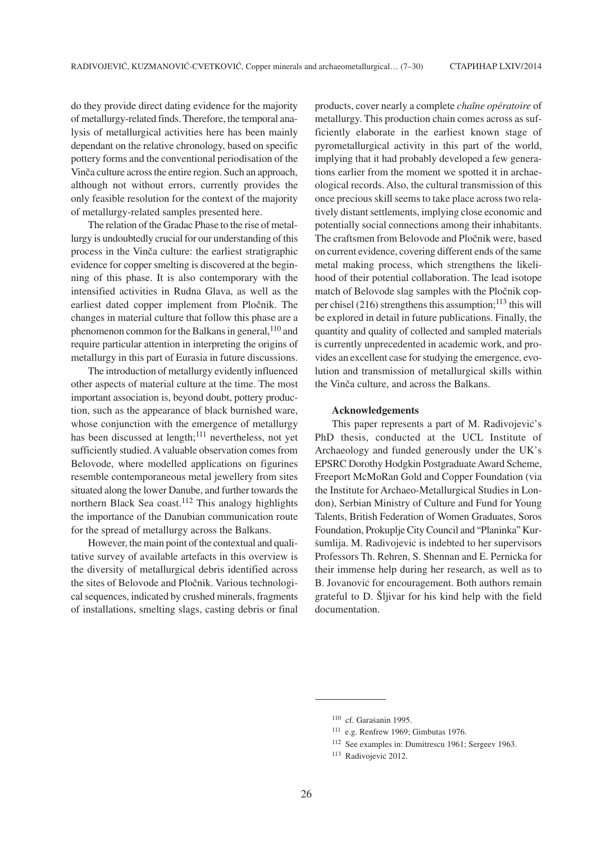do they provide direct dating evidence for the majority of metallurgy-related finds. Therefore, the temporal analysis of metallurgical activities here has been mainly dependant on the relative chronology, based on specific pottery forms and the conventional periodisation of the Vinča culture across the entire region. Such an approach, although not without errors, currently provides the only feasible resolution for the context of the majority of metallurgy-related samples presented here.

The relation of the Gradac Phase to the rise of metallurgy is undoubtedly crucial for our understanding of this process in the Vinča culture: the earliest stratigraphic evidence for copper smelting is discovered at the beginning of this phase. It is also contemporary with the intensified activities in Rudna Glava, as well as the earliest dated copper implement from Pločnik. The changes in material culture that follow this phase are a phenomenon common for the Balkans in general,<sup>110</sup> and require particular attention in interpreting the origins of metallurgy in this part of Eurasia in future discussions.

The introduction of metallurgy evidently influenced other aspects of material culture at the time. The most important association is, beyond doubt, pottery production, such as the appearance of black burnished ware, whose conjunction with the emergence of metallurgy has been discussed at length; $111$  nevertheless, not yet sufficiently studied. Avaluable observation comes from Belovode, where modelled applications on figurines resemble contemporaneous metal jewellery from sites situated along the lower Danube, and further towards the northern Black Sea coast.<sup>112</sup> This analogy highlights the importance of the Danubian communication route for the spread of metallurgy across the Balkans.

However, the main point of the contextual and qualitative survey of available artefacts in this overview is the diversity of metallurgical debris identified across the sites of Belovode and Pločnik. Various technological sequences, indicated by crushed minerals, fragments of installations, smelting slags, casting debris or final products, cover nearly a complete *chaîne opératoire* of metallurgy. This production chain comes across as sufficiently elaborate in the earliest known stage of pyrometallurgical activity in this part of the world, implying that it had probably developed a few generations earlier from the moment we spotted it in archaeological records. Also, the cultural transmission of this once precious skill seems to take place across two relatively distant settlements, implying close economic and potentially social connections among their inhabitants. The craftsmen from Belovode and Pločnik were, based on current evidence, covering different ends of the same metal making process, which strengthens the likelihood of their potential collaboration. The lead isotope match of Belovode slag samples with the Pločnik copper chisel (216) strengthens this assumption; $^{113}$  this will be explored in detail in future publications. Finally, the quantity and quality of collected and sampled materials is currently unprecedented in academic work, and provides an excellent case for studying the emergence, evolution and transmission of metallurgical skills within the Vinča culture, and across the Balkans.

#### **Acknowledgements**

This paper represents a part of M. Radivojević's PhD thesis, conducted at the UCL Institute of Archaeology and funded generously under the UK's EPSRC Dorothy Hodgkin Postgraduate Award Scheme, Freeport McMoRan Gold and Copper Foundation (via the Institute for Archaeo-Metallurgical Studies in London), Serbian Ministry of Culture and Fund for Young Talents, British Federation of Women Graduates, Soros Foundation, Prokuplje City Council and "Planinka" Kur šumlija. M. Radivojević is indebted to her supervisors Professors Th. Rehren, S. Shennan and E. Pernicka for their immense help during her research, as well as to B. Jovanović for encouragement. Both authors remain grateful to D. Šljivar for his kind help with the field documentation.

<sup>&</sup>lt;sup>110</sup> cf. Garašanin 1995.

<sup>111</sup> e.g. Renfrew 1969; Gimbutas 1976.

<sup>112</sup> See examples in: Dumitrescu 1961; Sergeev 1963.

<sup>&</sup>lt;sup>113</sup> Radivojević 2012.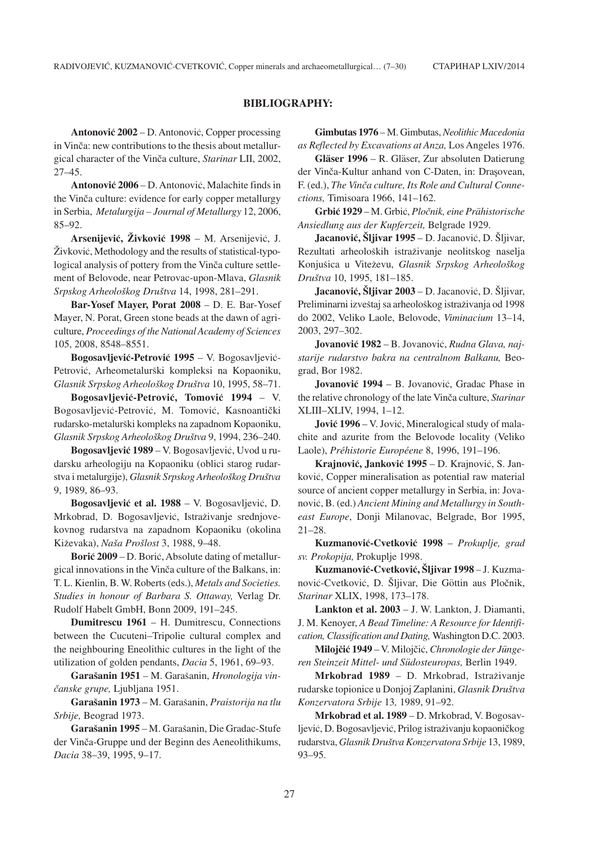### **BIBLIOGRAPHY:**

**Antonović 2002 – D. Antonović, Copper processing** in Vinča: new contributions to the thesis about metallurgical character of the Vinča culture, *Starinar LII*, 2002, 27–45.

**Antonović 2006** – D. Antonović, Malachite finds in the Vinča culture: evidence for early copper metallurgy in Serbia, *Metalurgija – Journal of Metallurgy* 12, 2006, 85–92.

**Arsenijević, Živković 1998** – M. Arsenijević, J.  $\dot{Z}$ ivković, Methodology and the results of statistical-typological analysis of pottery from the Vinča culture settlement of Belovode, near Petrovac-upon-Mlava, *Glasnik Srpskog Arheolo{kog Dru{tva* 14, 1998, 281–291.

**Bar-Yosef Mayer, Porat 2008** – D. E. Bar-Yosef Mayer, N. Porat, Green stone beads at the dawn of agriculture, *Proceedings of the National Academy of Sciences* 105, 2008, 8548–8551.

**Bogosavljević-Petrović 1995** – V. Bogosavljević-Petrović, Arheometalurški kompleksi na Kopaoniku, *Glasnik Srpskog Arheolo{kog Dru{tva* 10, 1995, 58–71.

Bogosavljević-Petrović, Tomović 1994 – V. Bogosavljević-Petrović, M. Tomović, Kasnoantički rudarsko-metalur{ki kompleks na zapadnom Kopaoniku, *Glasnik Srpskog Arheolo{kog Dru{tva* 9, 1994, 236–240.

Bogosavljević 1989 – V. Bogosavljević, Uvod u rudarsku arheologiju na Kopaoniku (oblici starog rudarstva i metalurgije), *Glasnik Srpskog Arheolo{kog Dru{tva* 9, 1989, 86–93.

**Bogosavljević et al. 1988** – V. Bogosavljević, D. Mrkobrad, D. Bogosavljević, Istraživanje srednjovekovnog rudarstva na zapadnom Kopaoniku (okolina Kiževaka), *Naša Prošlost* 3, 1988, 9–48.

**Borić 2009** – D. Borić, Absolute dating of metallurgical innovations in the Vinča culture of the Balkans, in: T. L. Kienlin, B. W. Roberts (eds.), *Metals and Societies. Studies in honour of Barbara S. Ottaway,* Verlag Dr. Rudolf Habelt GmbH, Bonn 2009, 191–245.

**Dumitrescu 1961** – H. Dumitrescu, Connections between the Cucuteni–Tripolie cultural complex and the neighbouring Eneolithic cultures in the light of the utilization of golden pendants, *Dacia* 5, 1961, 69–93.

**Gara{anin 1951** – M. Gara{anin, *Hronologija vin- ~anske grupe,* Ljubljana 1951.

**Gara{anin 1973** – M. Gara{anin, *Praistorija na tlu Srbije,* Beograd 1973.

Garašanin 1995 – M. Garašanin, Die Gradac-Stufe der Vinča-Gruppe und der Beginn des Aeneolithikums, *Dacia* 38–39, 1995, 9–17.

**Gimbutas 1976** – M. Gimbutas, *Neolithic Macedonia as Reflected by Excavations at Anza,* Los Angeles 1976.

**Gläser 1996** – R. Gläser, Zur absoluten Datierung der Vinča-Kultur anhand von C-Daten, in: Drasovean, F. (ed.), *The Vinča culture, Its Role and Cultural Connections,* Timisoara 1966, 141–162.

**Grbi} 1929** – M. Grbi}, *Plo~nik, eine Prähistorische Ansiedlung aus der Kupferzeit,* Belgrade 1929.

**Jacanović, Šljivar 1995** – D. Jacanović, D. Šljivar, Rezultati arheoloških istraživanje neolitskog naselja Konjušica u Viteževu, *Glasnik Srpskog Arheološkog Dru{tva* 10, 1995, 181–185.

**Jacanović, Šliivar 2003 – D. Jacanović, D. Šliivar,** Preliminarni izveštaj sa arheološkog istraživanja od 1998 do 2002, Veliko Laole, Belovode, *Viminacium* 13–14, 2003, 297–302.

Jovanović 1982 – B. Jovanović, *Rudna Glava, najstarije rudarstvo bakra na centralnom Balkanu,* Beograd, Bor 1982.

**Jovanović 1994** – B. Jovanović, Gradac Phase in the relative chronology of the late Vinča culture, *Starinar* XLIII–XLIV, 1994, 1–12.

**Jović 1996** – V. Jović, Mineralogical study of malachite and azurite from the Belovode locality (Veliko Laole), *Préhistorie Européene* 8, 1996, 191–196.

**Krajnović, Janković 1995 – D. Krajnović, S. Jan**ković, Copper mineralisation as potential raw material source of ancient copper metallurgy in Serbia, in: Jovanović, B. (ed.) *Ancient Mining and Metallurgy in Southeast Europe*, Donji Milanovac, Belgrade, Bor 1995, 21–28.

**Kuzmanovi}-Cvetkovi} 1998** – *Prokuplje, grad sv. Prokopija,* Prokuplje 1998.

**Kuzmanović-Cvetković, Šljivar 1998 – J. Kuzma**nović-Cvetković, D. Šljivar, Die Göttin aus Pločnik, *Starinar* XLIX, 1998, 173–178.

**Lankton et al. 2003** – J. W. Lankton, J. Diamanti, J. M. Kenoyer, *A Bead Timeline: A Resource for Identification, Classification and Dating,* Washington D.C. 2003.

**Milojčić 1949** – V. Milojčić, *Chronologie der Jüngeren Steinzeit Mittel- und Südosteuropas,* Berlin 1949.

**Mrkobrad 1989** – D. Mrkobrad, Istraživanje rudarske topionice u Donjoj Zaplanini, *Glasnik Dru{tva Konzervatora Srbije* 13*,* 1989, 91–92.

**Mrkobrad et al. 1989** – D. Mrkobrad, V. Bogosavljević, D. Bogosavljević, Prilog istraživanju kopaoničkog rudarstva, *Glasnik Dru{tva Konzervatora Srbije* 13, 1989, 93–95.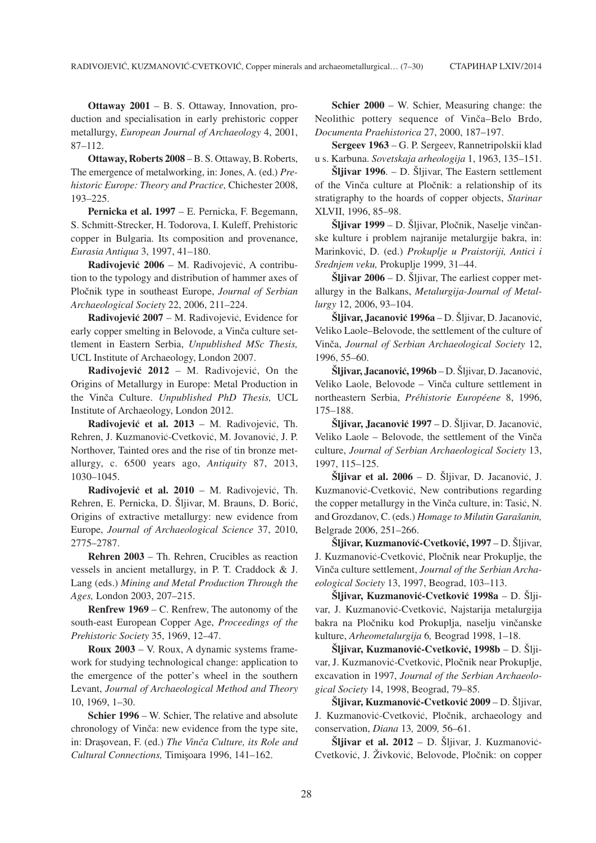**Ottaway 2001** – B. S. Ottaway, Innovation, production and specialisation in early prehistoric copper metallurgy, *European Journal of Archaeology* 4, 2001, 87–112.

**Ottaway, Roberts 2008** – B. S. Ottaway, B. Roberts, The emergence of metalworking, in: Jones, A. (ed.) *Prehistoric Europe: Theory and Practice,* Chichester 2008, 193–225.

**Pernicka et al. 1997** – E. Pernicka, F. Begemann, S. Schmitt-Strecker, H. Todorova, I. Kuleff, Prehistoric copper in Bulgaria. Its composition and provenance, *Eurasia Antiqua* 3, 1997, 41–180.

**Radivojević 2006** – M. Radivojević, A contribution to the typology and distribution of hammer axes of Pločnik type in southeast Europe, *Journal of Serbian Archaeological Society* 22, 2006, 211–224.

**Radivojević 2007 – M. Radivojević, Evidence for** early copper smelting in Belovode, a Vinča culture settlement in Eastern Serbia, *Unpublished MSc Thesis,* UCL Institute of Archaeology, London 2007.

**Radivojević 2012** – M. Radivojević, On the Origins of Metallurgy in Europe: Metal Production in the Vinča Culture. *Unpublished PhD Thesis*, UCL Institute of Archaeology, London 2012.

**Radivojević et al. 2013 – M. Radivojević, Th.** Rehren, J. Kuzmanović-Cvetković, M. Jovanović, J. P. Northover, Tainted ores and the rise of tin bronze metallurgy, c. 6500 years ago, *Antiquity* 87, 2013, 1030–1045.

**Radivojević et al. 2010 – M. Radivojević, Th.** Rehren, E. Pernicka, D. Šljivar, M. Brauns, D. Borić, Origins of extractive metallurgy: new evidence from Europe, *Journal of Archaeological Science* 37, 2010, 2775–2787.

**Rehren 2003** – Th. Rehren, Crucibles as reaction vessels in ancient metallurgy, in P. T. Craddock & J. Lang (eds.) *Mining and Metal Production Through the Ages,* London 2003, 207–215.

**Renfrew 1969** – C. Renfrew, The autonomy of the south-east European Copper Age, *Proceedings of the Prehistoric Society* 35, 1969, 12–47.

**Roux 2003** – V. Roux, A dynamic systems framework for studying technological change: application to the emergence of the potter's wheel in the southern Levant, *Journal of Archaeological Method and Theory* 10, 1969, 1–30.

**Schier 1996** – W. Schier, The relative and absolute chronology of Vinča: new evidence from the type site, in: Drasovean, F. (ed.) *The Vinča Culture, its Role and Cultural Connections, Timisoara 1996, 141–162.* 

**Schier 2000** – W. Schier, Measuring change: the Neolithic pottery sequence of Vinča-Belo Brdo, *Documenta Praehistorica* 27, 2000, 187–197.

**Sergeev 1963** – G. P. Sergeev, Rannetripolskii klad u s. Karbuna. *Sovetskaja arheologija* 1, 1963, 135–151.

**Šliivar 1996.** – D. Šliivar, The Eastern settlement of the Vinča culture at Pločnik: a relationship of its stratigraphy to the hoards of copper objects, *Starinar* XLVII, 1996, 85–98.

**Šljivar 1999 – D. Šljivar, Pločnik, Naselje vinčan**ske kulture i problem najranije metalurgije bakra, in: Marinkovi}, D. (ed.) *Prokuplje u Praistoriji, Antici i Srednjem veku,* Prokuplje 1999, 31–44.

 $\tilde{\textbf{S}}$ ljivar 2006 – D.  $\tilde{\textbf{S}}$ ljivar, The earliest copper metallurgy in the Balkans, *Metalurgija-Journal of Metallurgy* 12, 2006, 93–104.

**Šljivar, Jacanović 1996a – D. Šljivar, D. Jacanović,** Veliko Laole–Belovode, the settlement of the culture of Vinča, *Journal of Serbian Archaeological Society* 12, 1996, 55–60.

**Šliivar, Jacanović, 1996b** – D. Šliivar, D. Jacanović, Veliko Laole, Belovode – Vinča culture settlement in northeastern Serbia, *Préhistorie Européene* 8, 1996, 175–188.

**Šljivar, Jacanović 1997 – D. Šljivar, D. Jacanović,** Veliko Laole – Belovode, the settlement of the Vinča culture, *Journal of Serbian Archaeological Society* 13, 1997, 115–125.

**Šljivar et al.**  $2006 - D$ **. Šljivar, D. Jacanović, J.** Kuzmanović-Cvetković, New contributions regarding the copper metallurgy in the Vinča culture, in: Tasić, N. and Grozdanov, C. (eds.) *Homage to Milutin Garašanin*, Belgrade 2006, 251–266.

**Šljivar, Kuzmanović-Cvetković, 1997 – D. Šljivar,** J. Kuzmanović-Cvetković, Pločnik near Prokuplje, the Vinča culture settlement, *Journal of the Serbian Archaeological Society* 13, 1997, Beograd, 103–113.

**Šljivar, Kuzmanović-Cvetković 1998a – D. Šlji**var, J. Kuzmanović-Cvetković, Najstarija metalurgija bakra na Pločniku kod Prokuplja, naselju vinčanske kulture, *Arheometalurgija* 6*,* Beograd 1998, 1–18.

**Šljivar, Kuzmanović-Cvetković, 1998b – D. Šlji**var, J. Kuzmanović-Cvetković, Pločnik near Prokuplje, excavation in 1997, *Journal of the Serbian Archaeological Society* 14, 1998, Beograd, 79–85.

**Šljivar, Kuzmanović-Cvetković 2009 – D. Šljivar,** J. Kuzmanović-Cvetković, Pločnik, archaeology and conservation, *Diana* 13*,* 2009*,* 56–61.

**Šljivar et al. 2012 – D. Šljivar, J. Kuzmanović-**Cvetković, J. Živković, Belovode, Pločnik: on copper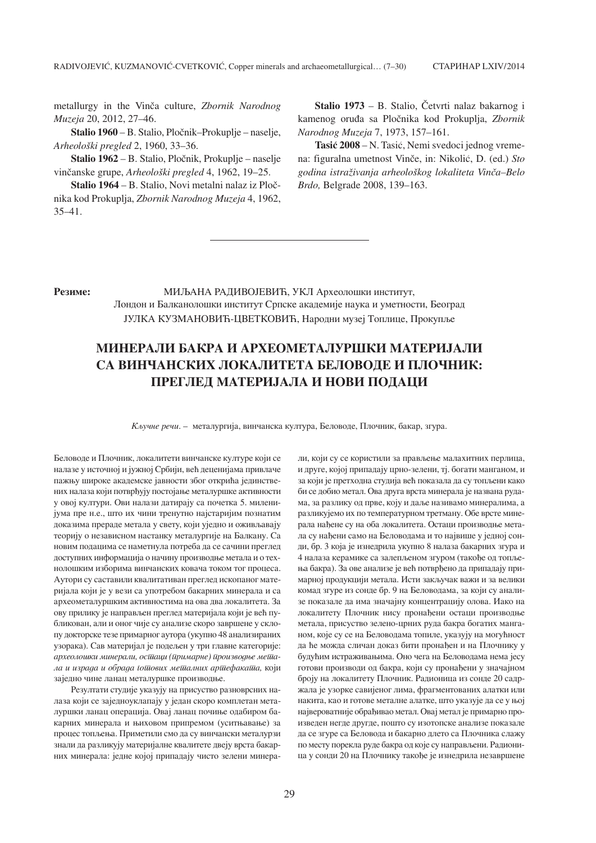metallurgy in the Vinča culture, *Zbornik Narodnog Muzeja* 20, 2012, 27–46.

**Stalio 1960 – B. Stalio, Pločnik–Prokuplje – naselje,** *Arheolo{ki pregled* 2, 1960, 33–36.

Stalio 1962 – B. Stalio, Pločnik, Prokuplje – naselje vinčanske grupe, *Arheološki pregled* 4, 1962, 19–25.

**Stalio 1964 – B. Stalio, Novi metalni nalaz iz Ploč**nika kod Prokuplja, *Zbornik Narodnog Muzeja* 4, 1962, 35–41.

**Stalio 1973 – B. Stalio, Četvrti nalaz bakarnog i** kamenog oru|a sa Plo~nika kod Prokuplja, *Zbornik Narodnog Muzeja* 7, 1973, 157–161.

Tasić 2008 – N. Tasić, Nemi svedoci jednog vremena: figuralna umetnost Vinče, in: Nikolić, D. (ed.) *Sto godina istra`ivanja arheolo{kog lokaliteta Vin~a–Belo Brdo,* Belgrade 2008, 139–163.

**Резиме:** МИЉАНА РАДИВОЈЕВИЋ, УКЛ Археолошки институт, Лондон и Балканолошки институт Српске академије наука и уметности, Београд ЈУЛКА КУЗМАНОВИЋ-ЦВЕТКОВИЋ, Народни музеј Топлице, Прокупље

# **MINERALI BAKRA I ARHEOMETALUR[KI MATERIJALI**  СА ВИНЧАНСКИХ ЛОКАЛИТЕТА БЕЛОВОЛЕ И ПЛОЧНИК: **ПРЕГЛЕД МАТЕРИЈАЛА И НОВИ ПОДАЦИ**

*К*ључне речи. – металургија, винчанска култура, Беловоде, Плочник, бакар, згура.

Беловоде и Плочник, локалитети винчанске културе који се налазе у источној и јужној Србији, већ леценијама привлаче пажњу широке академске јавности због открића јединствених налаза који потврђују постојање металуршке активности у овој култури. Ови налази датирају са почетка 5. миленијума пре н.е., што их чини тренутно најстаријим познатим доказима прераде метала у свету, који уједно и оживљавају теорију о независном настанку металургије на Балкану. Са новим подацима се наметнула потреба да се сачини преглед доступних информација о начину производње метала и о технолошким изборима винчанских ковача током тог процеса. Аутори су саставили квалитативан преглед ископаног материјала који је у вези са употребом бакарних минерала и са археометалуршким активностима на ова два локалитета. За ову прилику је направљен преглед материјала који је већ публикован, али и оног чије су анализе скоро завршене у склопу докторске тезе примарног аутора (укупно 48 анализираних узорака). Сав материјал је подељен у три главне категорије: археолошки минерали, остаци (иримарне) ироизводње мета*la i izrada i obrada gotovih metalnih artefakata,* koji заједно чине ланац металуршке производње.

Резултати студије указују на присуство разноврсних налаза који се заједноуклапају у један скоро комплетан металуршки ланац операција. Овај ланац почиње одабиром бакарних минерала и њиховом припремом (уситњавање) за процес топљења. Приметили смо да су винчански металурзи знали да разликују материјалне квалитете двеју врста бакарних минерала: једне којој припадају чисто зелени минерали, који су се користили за прављење малахитних перлица,  $\mu$  друге, којој припадају црно-зелени, тј. богати манганом, и за који је претходна студија већ показала да су топљени како би се добио метал. Ова друга врста минерала је названа рудама, за разлику од прве, коју и даље називамо минералима, а разликујемо их по температурном третману. Обе врсте минерала нађене су на оба локалитета. Остаци производње метала су нађени само на Беловодама и то највише у једној сонди, бр. 3 која је изнедрила укупно 8 налаза бакарних згура и 4 налаза керамике са залепљеном згуром (такође од топљења бакра). За ове анализе је већ потврђено да припадају примарној продукцији метала. Исти закључак важи и за велики комал згуре из сонле бр. 9 на Беловолама, за који су анализе показале да има значајну концентрацију олова. Иако на локалитету Плочник нису пронађени остаци производње метала, присуство зелено-црних руда бакра богатих манганом, које су се на Беловодама топиле, указују на могућност да ће можда сличан доказ бити пронађен и на Плочнику у будућим истраживањима. Оно чега на Беловодама нема јесу готови производи од бакра, који су пронађени у значајном броју на локалитету Плочник. Радионица из сонде 20 садржала је узорке савијеног лима, фрагментованих алатки или накита, као и готове металне алатке, што указује да се у њој највероватније обрађивао метал. Овај метал је примарно произведен негде другде, пошто су изотопске анализе показале па се згуре са Беловода и бакарно длето са Плочника слажу по месту порекла руде бакра од које су направљени. Радионица у сонди 20 на Плочнику такође је изнедрила незавршене